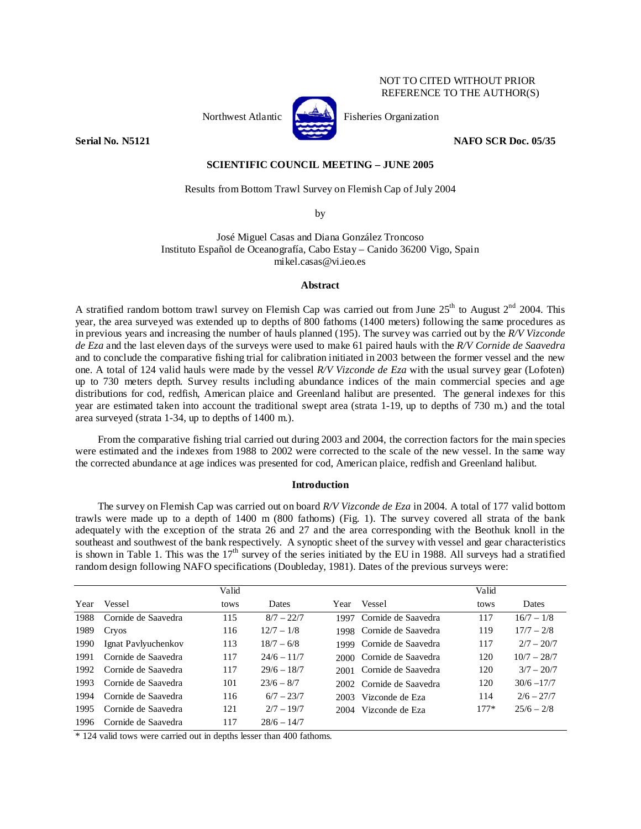## NOT TO CITED WITHOUT PRIOR REFERENCE TO THE AUTHOR(S)



Northwest Atlantic **Fisheries** Organization

**Serial No. N5121 NAFO SCR Doc. 05/35** 

### **SCIENTIFIC COUNCIL MEETING – JUNE 2005**

## Results from Bottom Trawl Survey on Flemish Cap of July 2004

by

José Miguel Casas and Diana González Troncoso Instituto Español de Oceanografía, Cabo Estay – Canido 36200 Vigo, Spain mikel.casas@vi.ieo.es

### **Abstract**

A stratified random bottom trawl survey on Flemish Cap was carried out from June  $25<sup>th</sup>$  to August  $2<sup>nd</sup>$  2004. This year, the area surveyed was extended up to depths of 800 fathoms (1400 meters) following the same procedures as in previous years and increasing the number of hauls planned (195). The survey was carried out by the *R/V Vizconde de Eza* and the last eleven days of the surveys were used to make 61 paired hauls with the *R/V Cornide de Saavedra*  and to conclude the comparative fishing trial for calibration initiated in 2003 between the former vessel and the new one. A total of 124 valid hauls were made by the vessel *R/V Vizconde de Eza* with the usual survey gear (Lofoten) up to 730 meters depth. Survey results including abundance indices of the main commercial species and age distributions for cod, redfish, American plaice and Greenland halibut are presented. The general indexes for this year are estimated taken into account the traditional swept area (strata 1-19, up to depths of 730 m.) and the total area surveyed (strata 1-34, up to depths of 1400 m.).

From the comparative fishing trial carried out during 2003 and 2004, the correction factors for the main species were estimated and the indexes from 1988 to 2002 were corrected to the scale of the new vessel. In the same way the corrected abundance at age indices was presented for cod, American plaice, redfish and Greenland halibut.

# **Introduction**

The survey on Flemish Cap was carried out on board *R/V Vizconde de Eza* in 2004. A total of 177 valid bottom trawls were made up to a depth of 1400 m (800 fathoms) (Fig. 1). The survey covered all strata of the bank adequately with the exception of the strata 26 and 27 and the area corresponding with the Beothuk knoll in the southeast and southwest of the bank respectively. A synoptic sheet of the survey with vessel and gear characteristics is shown in Table 1. This was the  $17<sup>th</sup>$  survey of the series initiated by the EU in 1988. All surveys had a stratified random design following NAFO specifications (Doubleday, 1981). Dates of the previous surveys were:

|      |                     | Valid |               |      |                           | Valid  |               |
|------|---------------------|-------|---------------|------|---------------------------|--------|---------------|
| Year | Vessel              | tows  | <b>Dates</b>  | Year | Vessel                    | tows   | Dates         |
| 1988 | Cornide de Saavedra | 115   | $8/7 - 22/7$  | 1997 | Cornide de Saavedra       | 117    | $16/7 - 1/8$  |
| 1989 | Cryos               | 116   | $12/7 - 1/8$  |      | 1998 Cornide de Saavedra  | 119    | $17/7 - 2/8$  |
| 1990 | Ignat Pavlyuchenkov | 113   | $18/7 - 6/8$  |      | 1999 Cornide de Saavedra  | 117    | $2/7 - 20/7$  |
| 1991 | Cornide de Saavedra | 117   | $24/6 - 11/7$ |      | 2000 Cornide de Saavedra  | 120    | $10/7 - 28/7$ |
| 1992 | Cornide de Saavedra | 117   | $29/6 - 18/7$ |      | 2001 Cornide de Saavedra  | 120    | $3/7 - 20/7$  |
| 1993 | Cornide de Saavedra | 101   | $23/6 - 8/7$  |      | 2002. Cornide de Saavedra | 120    | $30/6 - 17/7$ |
| 1994 | Cornide de Saavedra | 116   | $6/7 - 23/7$  | 2003 | Vizconde de Eza           | 114    | $2/6 - 27/7$  |
| 1995 | Cornide de Saavedra | 121   | $2/7 - 19/7$  |      | 2004 Vizconde de Eza      | $177*$ | $25/6 - 2/8$  |
| 1996 | Cornide de Saavedra | 117   | $28/6 - 14/7$ |      |                           |        |               |

\* 124 valid tows were carried out in depths lesser than 400 fathoms.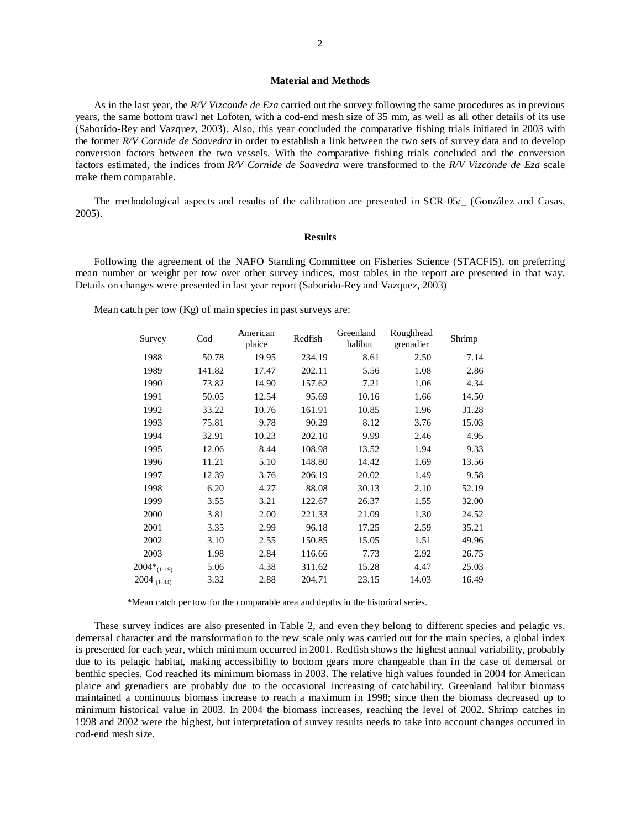### **Material and Methods**

As in the last year, the *R/V Vizconde de Eza* carried out the survey following the same procedures as in previous years, the same bottom trawl net Lofoten, with a cod-end mesh size of 35 mm, as well as all other details of its use (Saborido-Rey and Vazquez, 2003). Also, this year concluded the comparative fishing trials initiated in 2003 with the former *R/V Cornide de Saavedra* in order to establish a link between the two sets of survey data and to develop conversion factors between the two vessels. With the comparative fishing trials concluded and the conversion factors estimated, the indices from *R/V Cornide de Saavedra* were transformed to the *R/V Vizconde de Eza* scale make them comparable.

The methodological aspects and results of the calibration are presented in SCR 05/\_ (González and Casas, 2005).

#### **Results**

Following the agreement of the NAFO Standing Committee on Fisheries Science (STACFIS), on preferring mean number or weight per tow over other survey indices, most tables in the report are presented in that way. Details on changes were presented in last year report (Saborido-Rey and Vazquez, 2003)

Mean catch per tow (Kg) of main species in past surveys are:

| Survey                    | $\mathrm{Cod}$ | American<br>plaice | Redfish | Greenland<br>halibut | Roughhead<br>grenadier | Shrimp |
|---------------------------|----------------|--------------------|---------|----------------------|------------------------|--------|
| 1988                      | 50.78          | 19.95              | 234.19  | 8.61                 | 2.50                   | 7.14   |
| 1989                      | 141.82         | 17.47              | 202.11  | 5.56                 | 1.08                   | 2.86   |
| 1990                      | 73.82          | 14.90              | 157.62  | 7.21                 | 1.06                   | 4.34   |
| 1991                      | 50.05          | 12.54              | 95.69   | 10.16                | 1.66                   | 14.50  |
| 1992                      | 33.22          | 10.76              | 161.91  | 10.85                | 1.96                   | 31.28  |
| 1993                      | 75.81          | 9.78               | 90.29   | 8.12                 | 3.76                   | 15.03  |
| 1994                      | 32.91          | 10.23              | 202.10  | 9.99                 | 2.46                   | 4.95   |
| 1995                      | 12.06          | 8.44               | 108.98  | 13.52                | 1.94                   | 9.33   |
| 1996                      | 11.21          | 5.10               | 148.80  | 14.42                | 1.69                   | 13.56  |
| 1997                      | 12.39          | 3.76               | 206.19  | 20.02                | 1.49                   | 9.58   |
| 1998                      | 6.20           | 4.27               | 88.08   | 30.13                | 2.10                   | 52.19  |
| 1999                      | 3.55           | 3.21               | 122.67  | 26.37                | 1.55                   | 32.00  |
| 2000                      | 3.81           | 2.00               | 221.33  | 21.09                | 1.30                   | 24.52  |
| 2001                      | 3.35           | 2.99               | 96.18   | 17.25                | 2.59                   | 35.21  |
| 2002                      | 3.10           | 2.55               | 150.85  | 15.05                | 1.51                   | 49.96  |
| 2003                      | 1.98           | 2.84               | 116.66  | 7.73                 | 2.92                   | 26.75  |
| $2004*_{\textrm{(1-19)}}$ | 5.06           | 4.38               | 311.62  | 15.28                | 4.47                   | 25.03  |
| 2004 $(1-34)$             | 3.32           | 2.88               | 204.71  | 23.15                | 14.03                  | 16.49  |

\*Mean catch per tow for the comparable area and depths in the historical series.

These survey indices are also presented in Table 2, and even they belong to different species and pelagic vs. demersal character and the transformation to the new scale only was carried out for the main species, a global index is presented for each year, which minimum occurred in 2001. Redfish shows the highest annual variability, probably due to its pelagic habitat, making accessibility to bottom gears more changeable than in the case of demersal or benthic species. Cod reached its minimum biomass in 2003. The relative high values founded in 2004 for American plaice and grenadiers are probably due to the occasional increasing of catchability. Greenland halibut biomass maintained a continuous biomass increase to reach a maximum in 1998; since then the biomass decreased up to minimum historical value in 2003. In 2004 the biomass increases, reaching the level of 2002. Shrimp catches in 1998 and 2002 were the highest, but interpretation of survey results needs to take into account changes occurred in cod-end mesh size.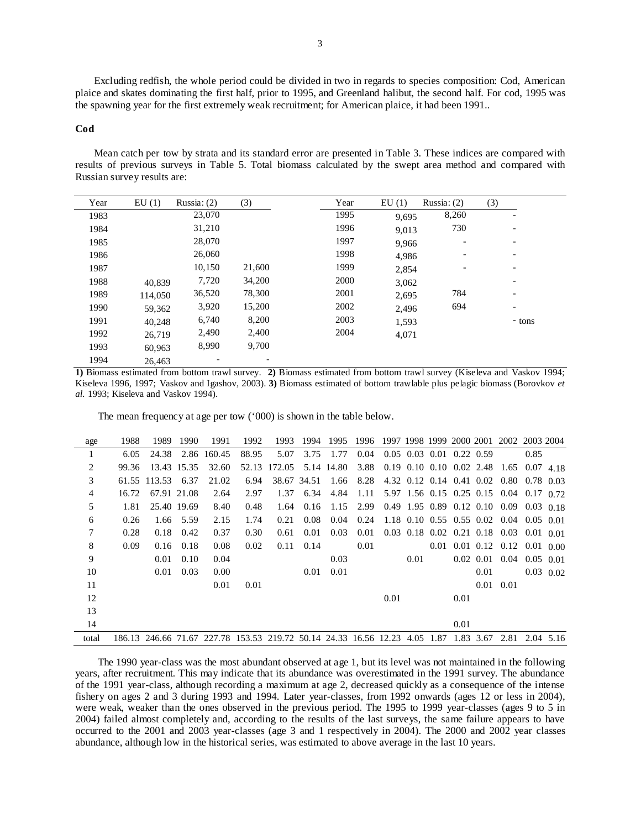Excluding redfish, the whole period could be divided in two in regards to species composition: Cod, American plaice and skates dominating the first half, prior to 1995, and Greenland halibut, the second half. For cod, 1995 was the spawning year for the first extremely weak recruitment; for American plaice, it had been 1991..

#### **Cod**

Mean catch per tow by strata and its standard error are presented in Table 3. These indices are compared with results of previous surveys in Table 5. Total biomass calculated by the swept area method and compared with Russian survey results are:

| Year | EU(1)   | Russia: $(2)$ | (3)    | Year | EU(1) | Russia: $(2)$            | (3)                      |
|------|---------|---------------|--------|------|-------|--------------------------|--------------------------|
| 1983 |         | 23,070        |        | 1995 | 9,695 | 8,260                    |                          |
| 1984 |         | 31,210        |        | 1996 | 9,013 | 730                      | $\overline{\phantom{a}}$ |
| 1985 |         | 28,070        |        | 1997 | 9,966 | $\overline{\phantom{a}}$ | $\overline{\phantom{a}}$ |
| 1986 |         | 26,060        |        | 1998 | 4,986 | $\overline{\phantom{a}}$ | $\overline{\phantom{a}}$ |
| 1987 |         | 10,150        | 21,600 | 1999 | 2,854 |                          |                          |
| 1988 | 40.839  | 7,720         | 34,200 | 2000 | 3,062 |                          | $\overline{\phantom{a}}$ |
| 1989 | 114.050 | 36,520        | 78,300 | 2001 | 2,695 | 784                      | $\overline{\phantom{a}}$ |
| 1990 | 59,362  | 3,920         | 15,200 | 2002 | 2,496 | 694                      | $\overline{\phantom{a}}$ |
| 1991 | 40,248  | 6,740         | 8,200  | 2003 | 1,593 |                          | - tons                   |
| 1992 | 26,719  | 2,490         | 2,400  | 2004 | 4,071 |                          |                          |
| 1993 | 60,963  | 8,990         | 9,700  |      |       |                          |                          |
| 1994 | 26,463  |               |        |      |       |                          |                          |

**1)** Biomass estimated from bottom trawl survey. **2)** Biomass estimated from bottom trawl survey (Kiseleva and Vaskov 1994; Kiseleva 1996, 1997; Vaskov and Igashov, 2003). **3)** Biomass estimated of bottom trawlable plus pelagic biomass (Borovkov *et al.* 1993; Kiseleva and Vaskov 1994).

The mean frequency at age per tow ('000) is shown in the table below.

| age            | 1988  | 1989         | 1990        | 1991                                                                       | 1992  | 1993   | 1994        | 1995       | 1996 |      |                            |      | 1997 1998 1999 2000 2001           |                                           | 2002 2003 2004    |      |
|----------------|-------|--------------|-------------|----------------------------------------------------------------------------|-------|--------|-------------|------------|------|------|----------------------------|------|------------------------------------|-------------------------------------------|-------------------|------|
| 1              | 6.05  | 24.38        |             | 2.86 160.45                                                                | 88.95 | 5.07   | 3.75        | 1.77       | 0.04 |      | $0.05$ 0.03 0.01 0.22 0.59 |      |                                    |                                           | 0.85              |      |
| 2              | 99.36 |              | 13.43 15.35 | 32.60                                                                      | 52.13 | 172.05 |             | 5.14 14.80 | 3.88 |      |                            |      | $0.19$ $0.10$ $0.10$ $0.02$ $2.48$ | 1.65                                      | $0.07$ 4.18       |      |
| 3              |       | 61.55 113.53 | 6.37        | 21.02                                                                      | 6.94  |        | 38.67 34.51 | 1.66       | 8.28 |      |                            |      |                                    | 4.32 0.12 0.14 0.41 0.02 0.80             | $0.78$ 0.03       |      |
| $\overline{4}$ | 16.72 | 67.91 21.08  |             | 2.64                                                                       | 2.97  | 1.37   | 6.34        | 4.84       | 1.11 |      |                            |      |                                    | 5.97 1.56 0.15 0.25 0.15 0.04             | $0.17 \quad 0.72$ |      |
| 5              | 1.81  |              | 25.40 19.69 | 8.40                                                                       | 0.48  | 1.64   | 0.16        | 1.15       | 2.99 |      |                            |      |                                    | $0.49$ 1.95 0.89 0.12 0.10 0.09           | $0.03 \quad 0.18$ |      |
| 6              | 0.26  | 1.66         | 5.59        | 2.15                                                                       | 1.74  | 0.21   | 0.08        | 0.04       | 0.24 |      |                            |      |                                    | 1.18 0.10 0.55 0.55 0.02 0.04             | $0.05 \quad 0.01$ |      |
| 7              | 0.28  | 0.18         | 0.42        | 0.37                                                                       | 0.30  | 0.61   | 0.01        | 0.03       | 0.01 |      |                            |      |                                    | $0.03$ 0.18 0.02 0.21 0.18 0.03           | $0.01 \quad 0.01$ |      |
| 8              | 0.09  | 0.16         | 0.18        | 0.08                                                                       | 0.02  | 0.11   | 0.14        |            | 0.01 |      |                            |      |                                    | $0.01$ $0.01$ $0.12$ $0.12$ $0.01$ $0.00$ |                   |      |
| 9              |       | 0.01         | 0.10        | 0.04                                                                       |       |        |             | 0.03       |      |      | 0.01                       |      |                                    | $0.02$ $0.01$ $0.04$                      | $0.05 \quad 0.01$ |      |
| 10             |       | 0.01         | 0.03        | 0.00                                                                       |       |        | 0.01        | 0.01       |      |      |                            |      | 0.01                               |                                           | $0.03$ 0.02       |      |
| 11             |       |              |             | 0.01                                                                       | 0.01  |        |             |            |      |      |                            |      |                                    | $0.01 \quad 0.01$                         |                   |      |
| 12             |       |              |             |                                                                            |       |        |             |            |      | 0.01 |                            | 0.01 |                                    |                                           |                   |      |
| 13             |       |              |             |                                                                            |       |        |             |            |      |      |                            |      |                                    |                                           |                   |      |
| 14             |       |              |             |                                                                            |       |        |             |            |      |      |                            | 0.01 |                                    |                                           |                   |      |
| total          |       |              |             | 186.13 246.66 71.67 227.78 153.53 219.72 50.14 24.33 16.56 12.23 4.05 1.87 |       |        |             |            |      |      |                            |      | 1.83 3.67                          | 2.81                                      | 2.04              | 5.16 |

The 1990 year-class was the most abundant observed at age 1, but its level was not maintained in the following years, after recruitment. This may indicate that its abundance was overestimated in the 1991 survey. The abundance of the 1991 year-class, although recording a maximum at age 2, decreased quickly as a consequence of the intense fishery on ages 2 and 3 during 1993 and 1994. Later year-classes, from 1992 onwards (ages 12 or less in 2004), were weak, weaker than the ones observed in the previous period. The 1995 to 1999 year-classes (ages 9 to 5 in 2004) failed almost completely and, according to the results of the last surveys, the same failure appears to have occurred to the 2001 and 2003 year-classes (age 3 and 1 respectively in 2004). The 2000 and 2002 year classes abundance, although low in the historical series, was estimated to above average in the last 10 years.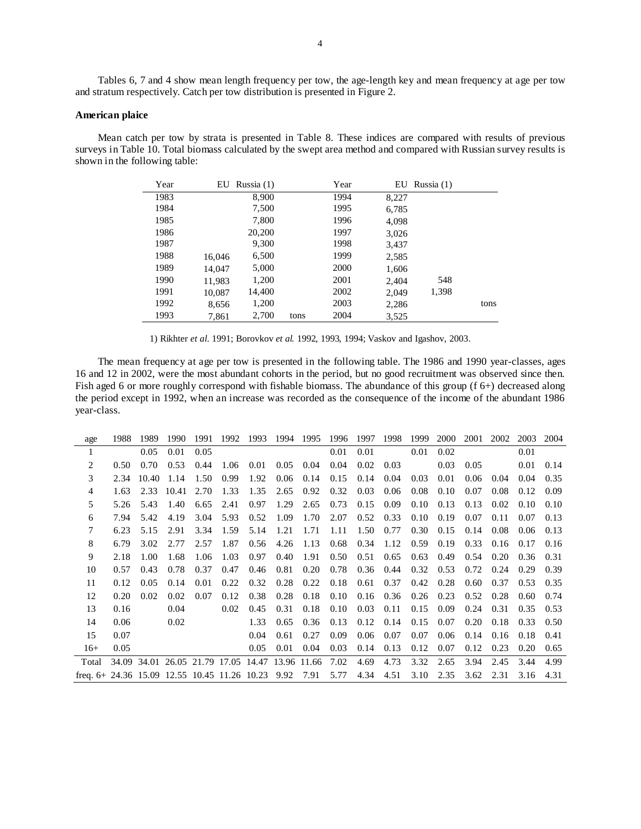Tables 6, 7 and 4 show mean length frequency per tow, the age-length key and mean frequency at age per tow and stratum respectively. Catch per tow distribution is presented in Figure 2.

## **American plaice**

Mean catch per tow by strata is presented in Table 8. These indices are compared with results of previous surveys in Table 10. Total biomass calculated by the swept area method and compared with Russian survey results is shown in the following table:

| Year | EU     | Russia $(1)$ |      | Year | EU    | Russia $(1)$ |      |
|------|--------|--------------|------|------|-------|--------------|------|
| 1983 |        | 8.900        |      | 1994 | 8,227 |              |      |
| 1984 |        | 7,500        |      | 1995 | 6,785 |              |      |
| 1985 |        | 7,800        |      | 1996 | 4,098 |              |      |
| 1986 |        | 20,200       |      | 1997 | 3,026 |              |      |
| 1987 |        | 9,300        |      | 1998 | 3,437 |              |      |
| 1988 | 16,046 | 6,500        |      | 1999 | 2,585 |              |      |
| 1989 | 14,047 | 5,000        |      | 2000 | 1,606 |              |      |
| 1990 | 11,983 | 1,200        |      | 2001 | 2,404 | 548          |      |
| 1991 | 10,087 | 14,400       |      | 2002 | 2,049 | 1,398        |      |
| 1992 | 8,656  | 1,200        |      | 2003 | 2,286 |              | tons |
| 1993 | 7,861  | 2,700        | tons | 2004 | 3,525 |              |      |

1) Rikhter *et al.* 1991; Borovkov *et al.* 1992, 1993, 1994; Vaskov and Igashov, 2003.

The mean frequency at age per tow is presented in the following table. The 1986 and 1990 year-classes, ages 16 and 12 in 2002, were the most abundant cohorts in the period, but no good recruitment was observed since then. Fish aged 6 or more roughly correspond with fishable biomass. The abundance of this group (f 6+) decreased along the period except in 1992, when an increase was recorded as the consequence of the income of the abundant 1986 year-class.

| age                                                | 1988 | 1989  | 1990                                | 1991 | 1992 | 1993 | 1994        | 1995 | 1996 | 1997 | 1998 | 1999 | 2000 | 2001 | 2002 | 2003 | 2004 |
|----------------------------------------------------|------|-------|-------------------------------------|------|------|------|-------------|------|------|------|------|------|------|------|------|------|------|
|                                                    |      | 0.05  | 0.01                                | 0.05 |      |      |             |      | 0.01 | 0.01 |      | 0.01 | 0.02 |      |      | 0.01 |      |
| 2                                                  | 0.50 | 0.70  | 0.53                                | 0.44 | 1.06 | 0.01 | 0.05        | 0.04 | 0.04 | 0.02 | 0.03 |      | 0.03 | 0.05 |      | 0.01 | 0.14 |
| 3                                                  | 2.34 | 10.40 | 1.14                                | 1.50 | 0.99 | 1.92 | 0.06        | 0.14 | 0.15 | 0.14 | 0.04 | 0.03 | 0.01 | 0.06 | 0.04 | 0.04 | 0.35 |
| 4                                                  | 1.63 | 2.33  | 10.41                               | 2.70 | 1.33 | 1.35 | 2.65        | 0.92 | 0.32 | 0.03 | 0.06 | 0.08 | 0.10 | 0.07 | 0.08 | 0.12 | 0.09 |
| 5                                                  | 5.26 | 5.43  | 1.40                                | 6.65 | 2.41 | 0.97 | 1.29        | 2.65 | 0.73 | 0.15 | 0.09 | 0.10 | 0.13 | 0.13 | 0.02 | 0.10 | 0.10 |
| 6                                                  | 7.94 | 5.42  | 4.19                                | 3.04 | 5.93 | 0.52 | 1.09        | 1.70 | 2.07 | 0.52 | 0.33 | 0.10 | 0.19 | 0.07 | 0.11 | 0.07 | 0.13 |
|                                                    | 6.23 | 5.15  | 2.91                                | 3.34 | 1.59 | 5.14 | 1.21        | 1.71 | 1.11 | 1.50 | 0.77 | 0.30 | 0.15 | 0.14 | 0.08 | 0.06 | 0.13 |
| 8                                                  | 6.79 | 3.02  | 2.77                                | 2.57 | 1.87 | 0.56 | 4.26        | 1.13 | 0.68 | 0.34 | 1.12 | 0.59 | 0.19 | 0.33 | 0.16 | 0.17 | 0.16 |
| 9                                                  | 2.18 | 1.00  | 1.68                                | 1.06 | 1.03 | 0.97 | 0.40        | 1.91 | 0.50 | 0.51 | 0.65 | 0.63 | 0.49 | 0.54 | 0.20 | 0.36 | 0.31 |
| 10                                                 | 0.57 | 0.43  | 0.78                                | 0.37 | 0.47 | 0.46 | 0.81        | 0.20 | 0.78 | 0.36 | 0.44 | 0.32 | 0.53 | 0.72 | 0.24 | 0.29 | 0.39 |
| 11                                                 | 0.12 | 0.05  | 0.14                                | 0.01 | 0.22 | 0.32 | 0.28        | 0.22 | 0.18 | 0.61 | 0.37 | 0.42 | 0.28 | 0.60 | 0.37 | 0.53 | 0.35 |
| 12                                                 | 0.20 | 0.02  | 0.02                                | 0.07 | 0.12 | 0.38 | 0.28        | 0.18 | 0.10 | 0.16 | 0.36 | 0.26 | 0.23 | 0.52 | 0.28 | 0.60 | 0.74 |
| 13                                                 | 0.16 |       | 0.04                                |      | 0.02 | 0.45 | 0.31        | 0.18 | 0.10 | 0.03 | 0.11 | 0.15 | 0.09 | 0.24 | 0.31 | 0.35 | 0.53 |
| 14                                                 | 0.06 |       | 0.02                                |      |      | 1.33 | 0.65        | 0.36 | 0.13 | 0.12 | 0.14 | 0.15 | 0.07 | 0.20 | 0.18 | 0.33 | 0.50 |
| 15                                                 | 0.07 |       |                                     |      |      | 0.04 | 0.61        | 0.27 | 0.09 | 0.06 | 0.07 | 0.07 | 0.06 | 0.14 | 0.16 | 0.18 | 0.41 |
| $16+$                                              | 0.05 |       |                                     |      |      | 0.05 | 0.01        | 0.04 | 0.03 | 0.14 | 0.13 | 0.12 | 0.07 | 0.12 | 0.23 | 0.20 | 0.65 |
| Total                                              |      |       | 34.09 34.01 26.05 21.79 17.05 14.47 |      |      |      | 13.96 11.66 |      | 7.02 | 4.69 | 4.73 | 3.32 | 2.65 | 3.94 | 2.45 | 3.44 | 4.99 |
| freq. $6+24.36$ 15.09 12.55 10.45 11.26 10.23 9.92 |      |       |                                     |      |      |      |             | 7.91 | 5.77 | 4.34 | 4.51 | 3.10 | 2.35 | 3.62 | 2.31 | 3.16 | 4.31 |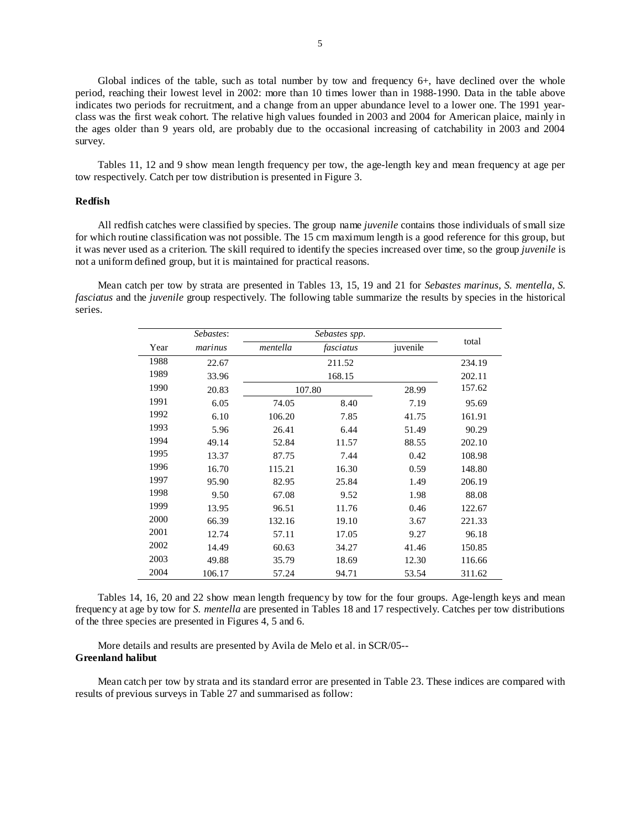Global indices of the table, such as total number by tow and frequency 6+, have declined over the whole period, reaching their lowest level in 2002: more than 10 times lower than in 1988-1990. Data in the table above indicates two periods for recruitment, and a change from an upper abundance level to a lower one. The 1991 yearclass was the first weak cohort. The relative high values founded in 2003 and 2004 for American plaice, mainly in the ages older than 9 years old, are probably due to the occasional increasing of catchability in 2003 and 2004 survey.

Tables 11, 12 and 9 show mean length frequency per tow, the age-length key and mean frequency at age per tow respectively. Catch per tow distribution is presented in Figure 3.

#### **Redfish**

All redfish catches were classified by species. The group name *juvenile* contains those individuals of small size for which routine classification was not possible. The 15 cm maximum length is a good reference for this group, but it was never used as a criterion. The skill required to identify the species increased over time, so the group *juvenile* is not a uniform defined group, but it is maintained for practical reasons.

Mean catch per tow by strata are presented in Tables 13, 15, 19 and 21 for *Sebastes marinus*, *S. mentella*, *S. fasciatus* and the *juvenile* group respectively. The following table summarize the results by species in the historical series.

|      | Sebastes: |          | total     |          |        |
|------|-----------|----------|-----------|----------|--------|
| Year | marinus   | mentella | fasciatus | juvenile |        |
| 1988 | 22.67     |          | 211.52    |          | 234.19 |
| 1989 | 33.96     |          | 168.15    |          | 202.11 |
| 1990 | 20.83     |          | 107.80    | 28.99    | 157.62 |
| 1991 | 6.05      | 74.05    | 8.40      | 7.19     | 95.69  |
| 1992 | 6.10      | 106.20   | 7.85      | 41.75    | 161.91 |
| 1993 | 5.96      | 26.41    | 6.44      | 51.49    | 90.29  |
| 1994 | 49.14     | 52.84    | 11.57     | 88.55    | 202.10 |
| 1995 | 13.37     | 87.75    | 7.44      | 0.42     | 108.98 |
| 1996 | 16.70     | 115.21   | 16.30     | 0.59     | 148.80 |
| 1997 | 95.90     | 82.95    | 25.84     | 1.49     | 206.19 |
| 1998 | 9.50      | 67.08    | 9.52      | 1.98     | 88.08  |
| 1999 | 13.95     | 96.51    | 11.76     | 0.46     | 122.67 |
| 2000 | 66.39     | 132.16   | 19.10     | 3.67     | 221.33 |
| 2001 | 12.74     | 57.11    | 17.05     | 9.27     | 96.18  |
| 2002 | 14.49     | 60.63    | 34.27     | 41.46    | 150.85 |
| 2003 | 49.88     | 35.79    | 18.69     | 12.30    | 116.66 |
| 2004 | 106.17    | 57.24    | 94.71     | 53.54    | 311.62 |

Tables 14, 16, 20 and 22 show mean length frequency by tow for the four groups. Age-length keys and mean frequency at age by tow for *S. mentella* are presented in Tables 18 and 17 respectively. Catches per tow distributions of the three species are presented in Figures 4, 5 and 6.

More details and results are presented by Avila de Melo et al. in SCR/05-- **Greenland halibut** 

Mean catch per tow by strata and its standard error are presented in Table 23. These indices are compared with results of previous surveys in Table 27 and summarised as follow: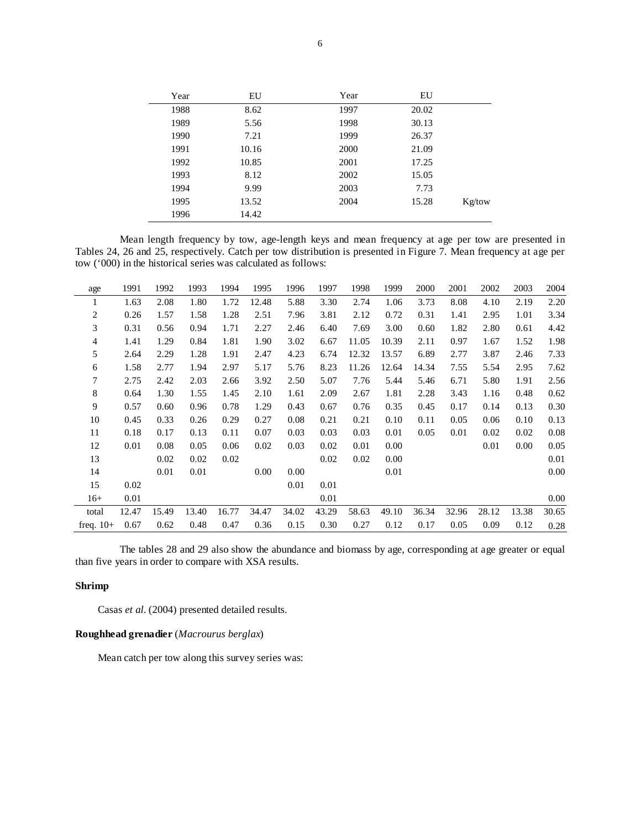| Year | EU    | Year | EU    |        |
|------|-------|------|-------|--------|
| 1988 | 8.62  | 1997 | 20.02 |        |
| 1989 | 5.56  | 1998 | 30.13 |        |
| 1990 | 7.21  | 1999 | 26.37 |        |
| 1991 | 10.16 | 2000 | 21.09 |        |
| 1992 | 10.85 | 2001 | 17.25 |        |
| 1993 | 8.12  | 2002 | 15.05 |        |
| 1994 | 9.99  | 2003 | 7.73  |        |
| 1995 | 13.52 | 2004 | 15.28 | Kg/tow |
| 1996 | 14.42 |      |       |        |

Mean length frequency by tow, age-length keys and mean frequency at age per tow are presented in Tables 24, 26 and 25, respectively. Catch per tow distribution is presented in Figure 7. Mean frequency at age per tow ('000) in the historical series was calculated as follows:

| age            | 1991  | 1992  | 1993  | 1994  | 1995  | 1996  | 1997  | 1998  | 1999  | 2000  | 2001  | 2002  | 2003  | 2004  |
|----------------|-------|-------|-------|-------|-------|-------|-------|-------|-------|-------|-------|-------|-------|-------|
| 1              | 1.63  | 2.08  | 1.80  | 1.72  | 12.48 | 5.88  | 3.30  | 2.74  | 1.06  | 3.73  | 8.08  | 4.10  | 2.19  | 2.20  |
| $\overline{c}$ | 0.26  | 1.57  | 1.58  | 1.28  | 2.51  | 7.96  | 3.81  | 2.12  | 0.72  | 0.31  | 1.41  | 2.95  | 1.01  | 3.34  |
| 3              | 0.31  | 0.56  | 0.94  | 1.71  | 2.27  | 2.46  | 6.40  | 7.69  | 3.00  | 0.60  | 1.82  | 2.80  | 0.61  | 4.42  |
| 4              | 1.41  | 1.29  | 0.84  | 1.81  | 1.90  | 3.02  | 6.67  | 11.05 | 10.39 | 2.11  | 0.97  | 1.67  | 1.52  | 1.98  |
| 5              | 2.64  | 2.29  | 1.28  | 1.91  | 2.47  | 4.23  | 6.74  | 12.32 | 13.57 | 6.89  | 2.77  | 3.87  | 2.46  | 7.33  |
| 6              | 1.58  | 2.77  | 1.94  | 2.97  | 5.17  | 5.76  | 8.23  | 11.26 | 12.64 | 14.34 | 7.55  | 5.54  | 2.95  | 7.62  |
| 7              | 2.75  | 2.42  | 2.03  | 2.66  | 3.92  | 2.50  | 5.07  | 7.76  | 5.44  | 5.46  | 6.71  | 5.80  | 1.91  | 2.56  |
| $\,8\,$        | 0.64  | 1.30  | 1.55  | 1.45  | 2.10  | 1.61  | 2.09  | 2.67  | 1.81  | 2.28  | 3.43  | 1.16  | 0.48  | 0.62  |
| 9              | 0.57  | 0.60  | 0.96  | 0.78  | 1.29  | 0.43  | 0.67  | 0.76  | 0.35  | 0.45  | 0.17  | 0.14  | 0.13  | 0.30  |
| 10             | 0.45  | 0.33  | 0.26  | 0.29  | 0.27  | 0.08  | 0.21  | 0.21  | 0.10  | 0.11  | 0.05  | 0.06  | 0.10  | 0.13  |
| 11             | 0.18  | 0.17  | 0.13  | 0.11  | 0.07  | 0.03  | 0.03  | 0.03  | 0.01  | 0.05  | 0.01  | 0.02  | 0.02  | 0.08  |
| 12             | 0.01  | 0.08  | 0.05  | 0.06  | 0.02  | 0.03  | 0.02  | 0.01  | 0.00  |       |       | 0.01  | 0.00  | 0.05  |
| 13             |       | 0.02  | 0.02  | 0.02  |       |       | 0.02  | 0.02  | 0.00  |       |       |       |       | 0.01  |
| 14             |       | 0.01  | 0.01  |       | 0.00  | 0.00  |       |       | 0.01  |       |       |       |       | 0.00  |
| 15             | 0.02  |       |       |       |       | 0.01  | 0.01  |       |       |       |       |       |       |       |
| $16+$          | 0.01  |       |       |       |       |       | 0.01  |       |       |       |       |       |       | 0.00  |
| total          | 12.47 | 15.49 | 13.40 | 16.77 | 34.47 | 34.02 | 43.29 | 58.63 | 49.10 | 36.34 | 32.96 | 28.12 | 13.38 | 30.65 |
| freq. $10+$    | 0.67  | 0.62  | 0.48  | 0.47  | 0.36  | 0.15  | 0.30  | 0.27  | 0.12  | 0.17  | 0.05  | 0.09  | 0.12  | 0.28  |

The tables 28 and 29 also show the abundance and biomass by age, corresponding at age greater or equal than five years in order to compare with XSA results.

### **Shrimp**

Casas et al. (2004) presented detailed results.

# **Roughhead grenadier** (*Macrourus berglax*)

Mean catch per tow along this survey series was: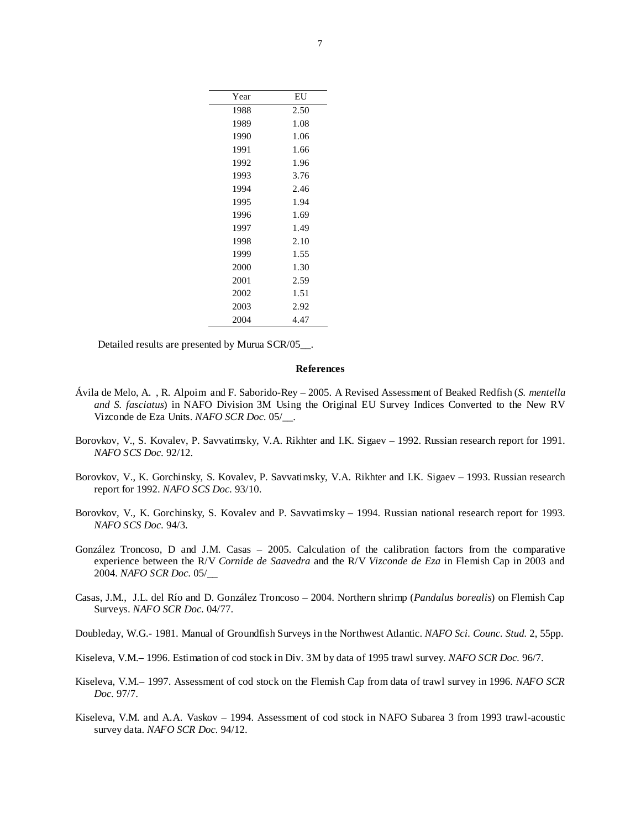| Year | EU   |
|------|------|
| 1988 | 2.50 |
| 1989 | 1.08 |
| 1990 | 1.06 |
| 1991 | 1.66 |
| 1992 | 1.96 |
| 1993 | 3.76 |
| 1994 | 2.46 |
| 1995 | 1.94 |
| 1996 | 1.69 |
| 1997 | 1.49 |
| 1998 | 2.10 |
| 1999 | 1.55 |
| 2000 | 1.30 |
| 2001 | 2.59 |
| 2002 | 1.51 |
| 2003 | 2.92 |
| 2004 | 4.47 |

Detailed results are presented by Murua SCR/05\_\_.

#### **References**

- Ávila de Melo, A. , R. Alpoim and F. Saborido-Rey 2005. A Revised Assessment of Beaked Redfish (*S. mentella and S. fasciatus*) in NAFO Division 3M Using the Original EU Survey Indices Converted to the New RV Vizconde de Eza Units. *NAFO SCR Doc.* 05/\_\_.
- Borovkov, V., S. Kovalev, P. Savvatimsky, V.A. Rikhter and I.K. Sigaev 1992. Russian research report for 1991. *NAFO SCS Doc.* 92/12.
- Borovkov, V., K. Gorchinsky, S. Kovalev, P. Savvatimsky, V.A. Rikhter and I.K. Sigaev 1993. Russian research report for 1992. *NAFO SCS Doc.* 93/10.
- Borovkov, V., K. Gorchinsky, S. Kovalev and P. Savvatimsky 1994. Russian national research report for 1993. *NAFO SCS Doc.* 94/3.
- González Troncoso, D and J.M. Casas 2005. Calculation of the calibration factors from the comparative experience between the R/V *Cornide de Saavedra* and the R/V *Vizconde de Eza* in Flemish Cap in 2003 and 2004. *NAFO SCR Doc.* 05/\_\_
- Casas, J.M., J.L. del Río and D. González Troncoso 2004. Northern shrimp (*Pandalus borealis*) on Flemish Cap Surveys. *NAFO SCR Doc.* 04/77.
- Doubleday, W.G.- 1981. Manual of Groundfish Surveys in the Northwest Atlantic. *NAFO Sci. Counc. Stud.* 2, 55pp.
- Kiseleva, V.M.– 1996. Estimation of cod stock in Div. 3M by data of 1995 trawl survey. *NAFO SCR Doc.* 96/7.
- Kiseleva, V.M.– 1997. Assessment of cod stock on the Flemish Cap from data of trawl survey in 1996. *NAFO SCR Doc.* 97/7.
- Kiseleva, V.M. and A.A. Vaskov 1994. Assessment of cod stock in NAFO Subarea 3 from 1993 trawl-acoustic survey data. *NAFO SCR Doc.* 94/12.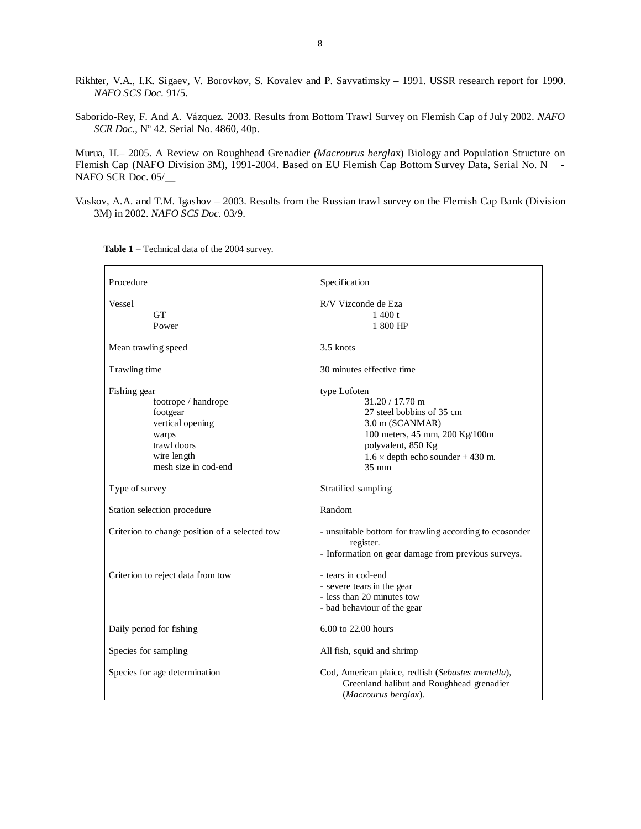- Rikhter, V.A., I.K. Sigaev, V. Borovkov, S. Kovalev and P. Savvatimsky 1991. USSR research report for 1990. *NAFO SCS Doc.* 91/5.
- Saborido-Rey, F. And A. Vázquez. 2003. Results from Bottom Trawl Survey on Flemish Cap of July 2002. *NAFO SCR Doc.,* Nº 42. Serial No. 4860, 40p.

Murua, H.– 2005. A Review on Roughhead Grenadier *(Macrourus bergla*x) Biology and Population Structure on Flemish Cap (NAFO Division 3M), 1991-2004. Based on EU Flemish Cap Bottom Survey Data, Serial No. N - NAFO SCR Doc. 05/

Vaskov, A.A. and T.M. Igashov – 2003. Results from the Russian trawl survey on the Flemish Cap Bank (Division 3M) in 2002. *NAFO SCS Doc.* 03/9.

| Procedure                                                                                                                          | Specification                                                                                                                                                                                            |  |  |  |  |  |  |  |
|------------------------------------------------------------------------------------------------------------------------------------|----------------------------------------------------------------------------------------------------------------------------------------------------------------------------------------------------------|--|--|--|--|--|--|--|
| Vessel<br><b>GT</b><br>Power                                                                                                       | R/V Vizconde de Eza<br>1400 t<br>1 800 HP                                                                                                                                                                |  |  |  |  |  |  |  |
| Mean trawling speed                                                                                                                | 3.5 knots                                                                                                                                                                                                |  |  |  |  |  |  |  |
| Trawling time                                                                                                                      | 30 minutes effective time                                                                                                                                                                                |  |  |  |  |  |  |  |
| Fishing gear<br>footrope / handrope<br>footgear<br>vertical opening<br>warps<br>trawl doors<br>wire length<br>mesh size in cod-end | type Lofoten<br>$31.20 / 17.70$ m<br>27 steel bobbins of 35 cm<br>3.0 m (SCANMAR)<br>100 meters, 45 mm, 200 Kg/100m<br>polyvalent, 850 Kg<br>$1.6 \times$ depth echo sounder + 430 m.<br>$35 \text{ mm}$ |  |  |  |  |  |  |  |
| Type of survey                                                                                                                     | Stratified sampling                                                                                                                                                                                      |  |  |  |  |  |  |  |
| Station selection procedure                                                                                                        | Random                                                                                                                                                                                                   |  |  |  |  |  |  |  |
| Criterion to change position of a selected tow                                                                                     | - unsuitable bottom for trawling according to ecosonder<br>register.<br>- Information on gear damage from previous surveys.                                                                              |  |  |  |  |  |  |  |
| Criterion to reject data from tow                                                                                                  | - tears in cod-end<br>- severe tears in the gear<br>- less than 20 minutes tow<br>- bad behaviour of the gear                                                                                            |  |  |  |  |  |  |  |
| Daily period for fishing                                                                                                           | 6.00 to 22.00 hours                                                                                                                                                                                      |  |  |  |  |  |  |  |
| Species for sampling                                                                                                               | All fish, squid and shrimp                                                                                                                                                                               |  |  |  |  |  |  |  |
| Species for age determination                                                                                                      | Cod, American plaice, redfish (Sebastes mentella),<br>Greenland halibut and Roughhead grenadier<br>(Macrourus berglax).                                                                                  |  |  |  |  |  |  |  |

**Table 1** – Technical data of the 2004 survey.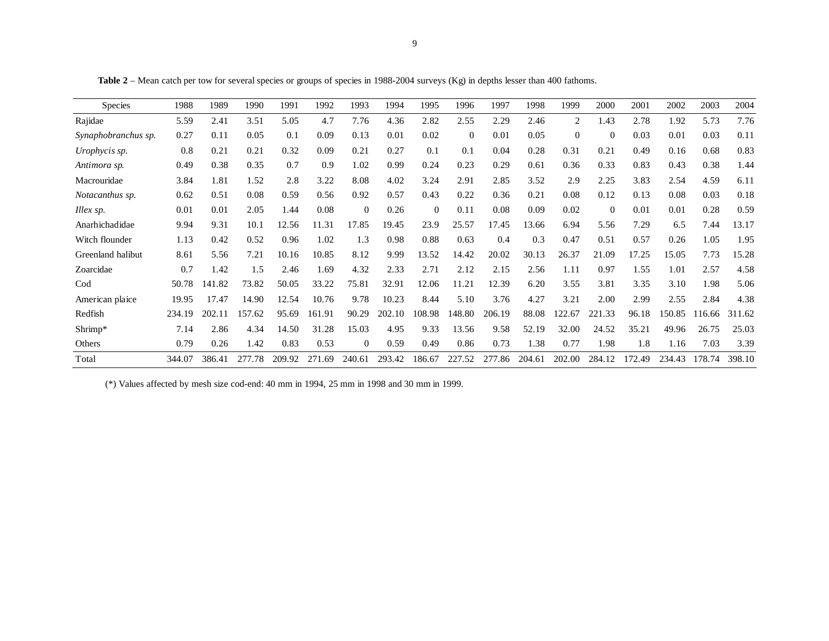| Species             | 1988   | 1989   | 1990   | 1991   | 1992   | 1993           | 1994   | 1995     | 1996           | 1997   | 1998   | 1999     | 2000     | 2001   | 2002   | 2003   | 2004   |
|---------------------|--------|--------|--------|--------|--------|----------------|--------|----------|----------------|--------|--------|----------|----------|--------|--------|--------|--------|
| Rajidae             | 5.59   | 2.41   | 3.51   | 5.05   | 4.7    | 7.76           | 4.36   | 2.82     | 2.55           | 2.29   | 2.46   | 2        | 1.43     | 2.78   | 1.92   | 5.73   | 7.76   |
| Synaphobranchus sp. | 0.27   | 0.11   | 0.05   | 0.1    | 0.09   | 0.13           | 0.01   | 0.02     | $\overline{0}$ | 0.01   | 0.05   | $\Omega$ | $\Omega$ | 0.03   | 0.01   | 0.03   | 0.11   |
| Urophycis sp.       | 0.8    | 0.21   | 0.21   | 0.32   | 0.09   | 0.21           | 0.27   | 0.1      | 0.1            | 0.04   | 0.28   | 0.31     | 0.21     | 0.49   | 0.16   | 0.68   | 0.83   |
| Antimora sp.        | 0.49   | 0.38   | 0.35   | 0.7    | 0.9    | 1.02           | 0.99   | 0.24     | 0.23           | 0.29   | 0.61   | 0.36     | 0.33     | 0.83   | 0.43   | 0.38   | 1.44   |
| Macrouridae         | 3.84   | 1.81   | 1.52   | 2.8    | 3.22   | 8.08           | 4.02   | 3.24     | 2.91           | 2.85   | 3.52   | 2.9      | 2.25     | 3.83   | 2.54   | 4.59   | 6.11   |
| Notacanthus sp.     | 0.62   | 0.51   | 0.08   | 0.59   | 0.56   | 0.92           | 0.57   | 0.43     | 0.22           | 0.36   | 0.21   | 0.08     | 0.12     | 0.13   | 0.08   | 0.03   | 0.18   |
| Illex sp.           | 0.01   | 0.01   | 2.05   | 1.44   | 0.08   | $\Omega$       | 0.26   | $\theta$ | 0.11           | 0.08   | 0.09   | 0.02     | $\Omega$ | 0.01   | 0.01   | 0.28   | 0.59   |
| Anarhichadidae      | 9.94   | 9.31   | 10.1   | 12.56  | 11.31  | 17.85          | 19.45  | 23.9     | 25.57          | 17.45  | 13.66  | 6.94     | 5.56     | 7.29   | 6.5    | 7.44   | 13.17  |
| Witch flounder      | 1.13   | 0.42   | 0.52   | 0.96   | 1.02   | 1.3            | 0.98   | 0.88     | 0.63           | 0.4    | 0.3    | 0.47     | 0.51     | 0.57   | 0.26   | 1.05   | 1.95   |
| Greenland halibut   | 8.61   | 5.56   | 7.21   | 10.16  | 10.85  | 8.12           | 9.99   | 13.52    | 14.42          | 20.02  | 30.13  | 26.37    | 21.09    | 17.25  | 15.05  | 7.73   | 15.28  |
| Zoarcidae           | 0.7    | 1.42   | 1.5    | 2.46   | 1.69   | 4.32           | 2.33   | 2.71     | 2.12           | 2.15   | 2.56   | 1.11     | 0.97     | 1.55   | 1.01   | 2.57   | 4.58   |
| Cod                 | 50.78  | 141.82 | 73.82  | 50.05  | 33.22  | 75.81          | 32.91  | 12.06    | 11.21          | 12.39  | 6.20   | 3.55     | 3.81     | 3.35   | 3.10   | 1.98   | 5.06   |
| American plaice     | 19.95  | 17.47  | 14.90  | 12.54  | 10.76  | 9.78           | 10.23  | 8.44     | 5.10           | 3.76   | 4.27   | 3.21     | 2.00     | 2.99   | 2.55   | 2.84   | 4.38   |
| Redfish             | 234.19 | 202.11 | 157.62 | 95.69  | 161.91 | 90.29          | 202.10 | 108.98   | 148.80         | 206.19 | 88.08  | 122.67   | 221.33   | 96.18  | 150.85 | 116.66 | 311.62 |
| Shrimp*             | 7.14   | 2.86   | 4.34   | 14.50  | 31.28  | 15.03          | 4.95   | 9.33     | 13.56          | 9.58   | 52.19  | 32.00    | 24.52    | 35.21  | 49.96  | 26.75  | 25.03  |
| Others              | 0.79   | 0.26   | 1.42   | 0.83   | 0.53   | $\overline{0}$ | 0.59   | 0.49     | 0.86           | 0.73   | 1.38   | 0.77     | 1.98     | 1.8    | 1.16   | 7.03   | 3.39   |
| Total               | 344.07 | 386.41 | 277.78 | 209.92 | 271.69 | 240.61         | 293.42 | 186.67   | 227.52         | 277.86 | 204.61 | 202.00   | 284.12   | 172.49 | 234.43 | 178.74 | 398.10 |

**Table 2** – Mean catch per tow for several species or groups of species in 1988-2004 surveys (Kg) in depths lesser than 400 fathoms.

(\*) Values affected by mesh size cod-end: 40 mm in 1994, 25 mm in 1998 and 30 mm in 1999.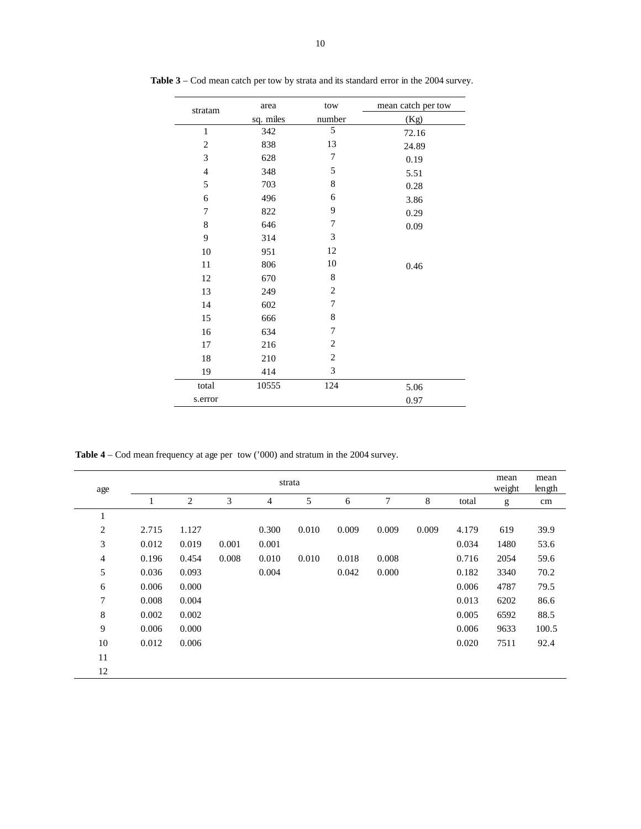| stratam        | area      | tow            | mean catch per tow |
|----------------|-----------|----------------|--------------------|
|                | sq. miles | number         | (Kg)               |
| $\mathbf{1}$   | 342       | 5              | 72.16              |
| $\mathbf{2}$   | 838       | 13             | 24.89              |
| 3              | 628       | 7              | 0.19               |
| $\overline{4}$ | 348       | 5              | 5.51               |
| 5              | 703       | 8              | 0.28               |
| 6              | 496       | 6              | 3.86               |
| 7              | 822       | 9              | 0.29               |
| $\,$ 8 $\,$    | 646       | 7              | 0.09               |
| 9              | 314       | 3              |                    |
| 10             | 951       | 12             |                    |
| 11             | 806       | 10             | 0.46               |
| 12             | 670       | 8              |                    |
| 13             | 249       | $\overline{c}$ |                    |
| 14             | 602       | 7              |                    |
| 15             | 666       | 8              |                    |
| 16             | 634       | 7              |                    |
| 17             | 216       | $\overline{c}$ |                    |
| 18             | 210       | $\mathbf{2}$   |                    |
| 19             | 414       | 3              |                    |
| total          | 10555     | 124            | 5.06               |
| s.error        |           |                | 0.97               |

**Table 3** – Cod mean catch per tow by strata and its standard error in the 2004 survey.

**Table 4** – Cod mean frequency at age per tow ('000) and stratum in the 2004 survey.

| age            |       |       |       |       | strata |       |       |       |       | mean<br>weight | mean<br>length |
|----------------|-------|-------|-------|-------|--------|-------|-------|-------|-------|----------------|----------------|
|                |       | 2     | 3     | 4     | 5      | 6     | 7     | 8     | total | g              | cm             |
| $\mathbf{1}$   |       |       |       |       |        |       |       |       |       |                |                |
| $\overline{c}$ | 2.715 | 1.127 |       | 0.300 | 0.010  | 0.009 | 0.009 | 0.009 | 4.179 | 619            | 39.9           |
| 3              | 0.012 | 0.019 | 0.001 | 0.001 |        |       |       |       | 0.034 | 1480           | 53.6           |
| $\overline{4}$ | 0.196 | 0.454 | 0.008 | 0.010 | 0.010  | 0.018 | 0.008 |       | 0.716 | 2054           | 59.6           |
| 5              | 0.036 | 0.093 |       | 0.004 |        | 0.042 | 0.000 |       | 0.182 | 3340           | 70.2           |
| 6              | 0.006 | 0.000 |       |       |        |       |       |       | 0.006 | 4787           | 79.5           |
| 7              | 0.008 | 0.004 |       |       |        |       |       |       | 0.013 | 6202           | 86.6           |
| $\,$ $\,$      | 0.002 | 0.002 |       |       |        |       |       |       | 0.005 | 6592           | 88.5           |
| 9              | 0.006 | 0.000 |       |       |        |       |       |       | 0.006 | 9633           | 100.5          |
| 10             | 0.012 | 0.006 |       |       |        |       |       |       | 0.020 | 7511           | 92.4           |
| 11             |       |       |       |       |        |       |       |       |       |                |                |
| 12             |       |       |       |       |        |       |       |       |       |                |                |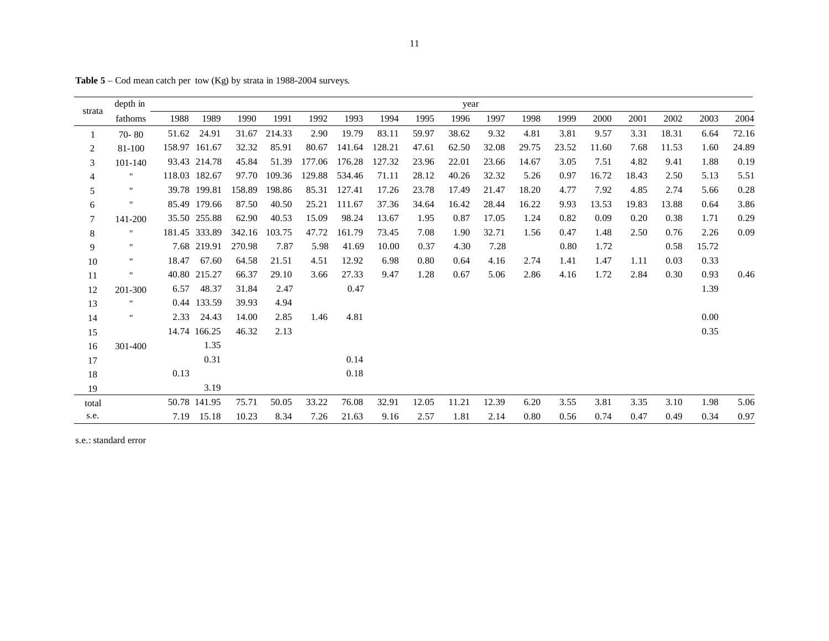|                | depth in           |       |               |        |        |        |        |        |       | year  |       |       |       |       |       |       |       |       |
|----------------|--------------------|-------|---------------|--------|--------|--------|--------|--------|-------|-------|-------|-------|-------|-------|-------|-------|-------|-------|
| strata         | fathoms            | 1988  | 1989          | 1990   | 1991   | 1992   | 1993   | 1994   | 1995  | 1996  | 1997  | 1998  | 1999  | 2000  | 2001  | 2002  | 2003  | 2004  |
| 1              | $70 - 80$          | 51.62 | 24.91         | 31.67  | 214.33 | 2.90   | 19.79  | 83.11  | 59.97 | 38.62 | 9.32  | 4.81  | 3.81  | 9.57  | 3.31  | 18.31 | 6.64  | 72.16 |
| $\overline{c}$ | 81-100             |       | 158.97 161.67 | 32.32  | 85.91  | 80.67  | 141.64 | 128.21 | 47.61 | 62.50 | 32.08 | 29.75 | 23.52 | 11.60 | 7.68  | 11.53 | 1.60  | 24.89 |
| 3              | 101-140            |       | 93.43 214.78  | 45.84  | 51.39  | 177.06 | 176.28 | 127.32 | 23.96 | 22.01 | 23.66 | 14.67 | 3.05  | 7.51  | 4.82  | 9.41  | 1.88  | 0.19  |
| 4              | $\pmb{\mathsf{H}}$ |       | 118.03 182.67 | 97.70  | 109.36 | 129.88 | 534.46 | 71.11  | 28.12 | 40.26 | 32.32 | 5.26  | 0.97  | 16.72 | 18.43 | 2.50  | 5.13  | 5.51  |
| 5              | $\pmb{\mathsf{H}}$ |       | 39.78 199.81  | 158.89 | 198.86 | 85.31  | 127.41 | 17.26  | 23.78 | 17.49 | 21.47 | 18.20 | 4.77  | 7.92  | 4.85  | 2.74  | 5.66  | 0.28  |
| 6              |                    |       | 85.49 179.66  | 87.50  | 40.50  | 25.21  | 111.67 | 37.36  | 34.64 | 16.42 | 28.44 | 16.22 | 9.93  | 13.53 | 19.83 | 13.88 | 0.64  | 3.86  |
| $\overline{7}$ | 141-200            |       | 35.50 255.88  | 62.90  | 40.53  | 15.09  | 98.24  | 13.67  | 1.95  | 0.87  | 17.05 | 1.24  | 0.82  | 0.09  | 0.20  | 0.38  | 1.71  | 0.29  |
| $8\,$          | $\pmb{\mathsf{H}}$ |       | 181.45 333.89 | 342.16 | 103.75 | 47.72  | 161.79 | 73.45  | 7.08  | 1.90  | 32.71 | 1.56  | 0.47  | 1.48  | 2.50  | 0.76  | 2.26  | 0.09  |
| 9              | $\mathbf{H}$       |       | 7.68 219.91   | 270.98 | 7.87   | 5.98   | 41.69  | 10.00  | 0.37  | 4.30  | 7.28  |       | 0.80  | 1.72  |       | 0.58  | 15.72 |       |
| 10             | п.                 | 18.47 | 67.60         | 64.58  | 21.51  | 4.51   | 12.92  | 6.98   | 0.80  | 0.64  | 4.16  | 2.74  | 1.41  | 1.47  | 1.11  | 0.03  | 0.33  |       |
| 11             | н.                 |       | 40.80 215.27  | 66.37  | 29.10  | 3.66   | 27.33  | 9.47   | 1.28  | 0.67  | 5.06  | 2.86  | 4.16  | 1.72  | 2.84  | 0.30  | 0.93  | 0.46  |
| 12             | 201-300            | 6.57  | 48.37         | 31.84  | 2.47   |        | 0.47   |        |       |       |       |       |       |       |       |       | 1.39  |       |
| 13             | н.                 |       | 0.44 133.59   | 39.93  | 4.94   |        |        |        |       |       |       |       |       |       |       |       |       |       |
| 14             | $\mathbf{H}$       | 2.33  | 24.43         | 14.00  | 2.85   | 1.46   | 4.81   |        |       |       |       |       |       |       |       |       | 0.00  |       |
| 15             |                    |       | 14.74 166.25  | 46.32  | 2.13   |        |        |        |       |       |       |       |       |       |       |       | 0.35  |       |
| 16             | 301-400            |       | 1.35          |        |        |        |        |        |       |       |       |       |       |       |       |       |       |       |
| 17             |                    |       | 0.31          |        |        |        | 0.14   |        |       |       |       |       |       |       |       |       |       |       |
| $18\,$         |                    | 0.13  |               |        |        |        | 0.18   |        |       |       |       |       |       |       |       |       |       |       |
| 19             |                    |       | 3.19          |        |        |        |        |        |       |       |       |       |       |       |       |       |       |       |
| total          |                    |       | 50.78 141.95  | 75.71  | 50.05  | 33.22  | 76.08  | 32.91  | 12.05 | 11.21 | 12.39 | 6.20  | 3.55  | 3.81  | 3.35  | 3.10  | 1.98  | 5.06  |
| s.e.           |                    | 7.19  | 15.18         | 10.23  | 8.34   | 7.26   | 21.63  | 9.16   | 2.57  | 1.81  | 2.14  | 0.80  | 0.56  | 0.74  | 0.47  | 0.49  | 0.34  | 0.97  |

**Table 5** – Cod mean catch per tow (Kg) by strata in 1988-2004 surveys.

s.e.: standard error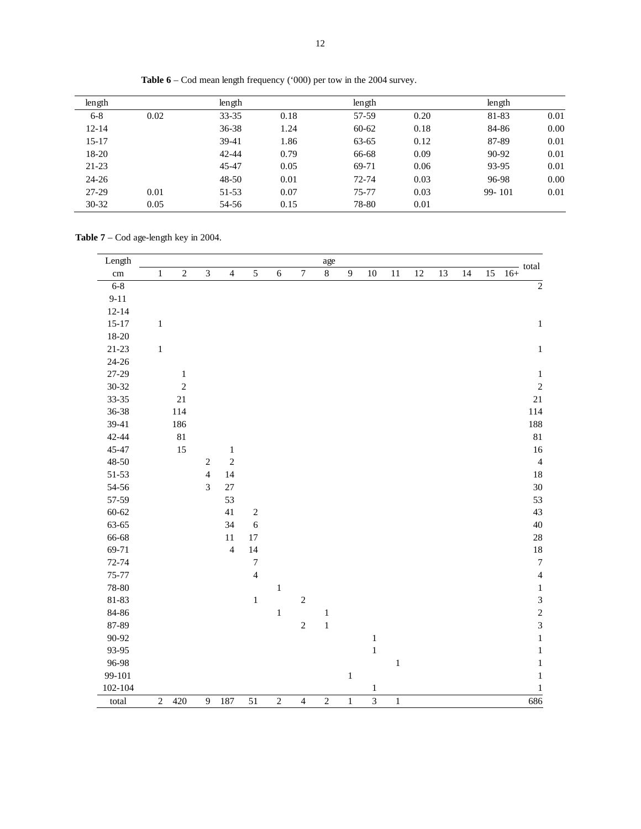| length    |      | length    |      | length    |      | length |      |
|-----------|------|-----------|------|-----------|------|--------|------|
| $6 - 8$   | 0.02 | $33 - 35$ | 0.18 | 57-59     | 0.20 | 81-83  | 0.01 |
| $12 - 14$ |      | $36 - 38$ | 1.24 | $60 - 62$ | 0.18 | 84-86  | 0.00 |
| $15 - 17$ |      | 39-41     | 1.86 | $63 - 65$ | 0.12 | 87-89  | 0.01 |
| 18-20     |      | $42 - 44$ | 0.79 | 66-68     | 0.09 | 90-92  | 0.01 |
| $21 - 23$ |      | 45-47     | 0.05 | 69-71     | 0.06 | 93-95  | 0.01 |
| $24 - 26$ |      | $48 - 50$ | 0.01 | $72 - 74$ | 0.03 | 96-98  | 0.00 |
| 27-29     | 0.01 | 51-53     | 0.07 | $75 - 77$ | 0.03 | 99-101 | 0.01 |
| $30 - 32$ | 0.05 | 54-56     | 0.15 | 78-80     | 0.01 |        |      |

**Table 6** – Cod mean length frequency ('000) per tow in the 2004 survey.

**Table 7** – Cod age-length key in 2004.

| Length          |            |              |                |                |                  |            |                  | age                |              |                         |       |    |    |    |    | - total          |
|-----------------|------------|--------------|----------------|----------------|------------------|------------|------------------|--------------------|--------------|-------------------------|-------|----|----|----|----|------------------|
| $\,\mathrm{cm}$ | 1          | $\sqrt{2}$   | $\mathfrak{Z}$ | $\overline{4}$ | $\sqrt{5}$       | $\sqrt{6}$ | $\boldsymbol{7}$ | $\overline{\bf 8}$ | $\mathbf{9}$ | $10\,$                  | 11    | 12 | 13 | 14 | 15 | $16+$            |
| $6 - 8$         |            |              |                |                |                  |            |                  |                    |              |                         |       |    |    |    |    | $\sqrt{2}$       |
| $9 - 11$        |            |              |                |                |                  |            |                  |                    |              |                         |       |    |    |    |    |                  |
| $12 - 14$       |            |              |                |                |                  |            |                  |                    |              |                         |       |    |    |    |    |                  |
| $15 - 17$       | $\,1$      |              |                |                |                  |            |                  |                    |              |                         |       |    |    |    |    | $\,1$            |
| 18-20           |            |              |                |                |                  |            |                  |                    |              |                         |       |    |    |    |    |                  |
| $21 - 23$       | $\,1\,$    |              |                |                |                  |            |                  |                    |              |                         |       |    |    |    |    | $\,1\,$          |
| $24 - 26$       |            |              |                |                |                  |            |                  |                    |              |                         |       |    |    |    |    |                  |
| $27 - 29$       |            | $\mathbf{1}$ |                |                |                  |            |                  |                    |              |                         |       |    |    |    |    | $\,1\,$          |
| 30-32           |            | $\sqrt{2}$   |                |                |                  |            |                  |                    |              |                         |       |    |    |    |    | $\sqrt{2}$       |
| 33-35           |            | 21           |                |                |                  |            |                  |                    |              |                         |       |    |    |    |    | $21\,$           |
| 36-38           |            | 114          |                |                |                  |            |                  |                    |              |                         |       |    |    |    |    | 114              |
| 39-41           |            | 186          |                |                |                  |            |                  |                    |              |                         |       |    |    |    |    | 188              |
| 42-44           |            | 81           |                |                |                  |            |                  |                    |              |                         |       |    |    |    |    | $81\,$           |
| 45-47           |            | 15           |                | $\mathbf{1}$   |                  |            |                  |                    |              |                         |       |    |    |    |    | $16\,$           |
| 48-50           |            |              | $\sqrt{2}$     | $\sqrt{2}$     |                  |            |                  |                    |              |                         |       |    |    |    |    | $\overline{4}$   |
| $51 - 53$       |            |              | $\overline{4}$ | 14             |                  |            |                  |                    |              |                         |       |    |    |    |    | $18\,$           |
| 54-56           |            |              | 3              | 27             |                  |            |                  |                    |              |                         |       |    |    |    |    | 30               |
| 57-59           |            |              |                | 53             |                  |            |                  |                    |              |                         |       |    |    |    |    | 53               |
| $60 - 62$       |            |              |                | $41\,$         | $\sqrt{2}$       |            |                  |                    |              |                         |       |    |    |    |    | 43               |
| 63-65           |            |              |                | 34             | $\sqrt{6}$       |            |                  |                    |              |                         |       |    |    |    |    | 40               |
| 66-68           |            |              |                | $11\,$         | $17\,$           |            |                  |                    |              |                         |       |    |    |    |    | $28\,$           |
| 69-71           |            |              |                | $\overline{4}$ | $14\,$           |            |                  |                    |              |                         |       |    |    |    |    | $18\,$           |
| $72 - 74$       |            |              |                |                | $\boldsymbol{7}$ |            |                  |                    |              |                         |       |    |    |    |    | $\boldsymbol{7}$ |
| 75-77           |            |              |                |                | $\overline{4}$   |            |                  |                    |              |                         |       |    |    |    |    | $\overline{4}$   |
| 78-80           |            |              |                |                |                  | $\,1$      |                  |                    |              |                         |       |    |    |    |    | $\,1\,$          |
| 81-83           |            |              |                |                | $\,1$            |            | $\sqrt{2}$       |                    |              |                         |       |    |    |    |    | $\overline{3}$   |
| 84-86           |            |              |                |                |                  | $\,1\,$    |                  | $\,1$              |              |                         |       |    |    |    |    | $\overline{c}$   |
| 87-89           |            |              |                |                |                  |            | $\sqrt{2}$       | $\,1$              |              |                         |       |    |    |    |    | $\overline{3}$   |
| 90-92           |            |              |                |                |                  |            |                  |                    |              | $\,1$                   |       |    |    |    |    | $\,1\,$          |
| 93-95           |            |              |                |                |                  |            |                  |                    |              | $\,1$                   |       |    |    |    |    | $\,1\,$          |
| 96-98           |            |              |                |                |                  |            |                  |                    |              |                         | $\,1$ |    |    |    |    | $\,1\,$          |
| 99-101          |            |              |                |                |                  |            |                  |                    | $\,1$        |                         |       |    |    |    |    | $\mathbf{1}$     |
| 102-104         |            |              |                |                |                  |            |                  |                    |              | $\mathbf{1}$            |       |    |    |    |    | $\mathbf{1}$     |
| total           | $\sqrt{2}$ | 420          | $\overline{9}$ | 187            | 51               | $\sqrt{2}$ | $\overline{4}$   | $\overline{c}$     | $\,1$        | $\overline{\mathbf{3}}$ | $\,1$ |    |    |    |    | 686              |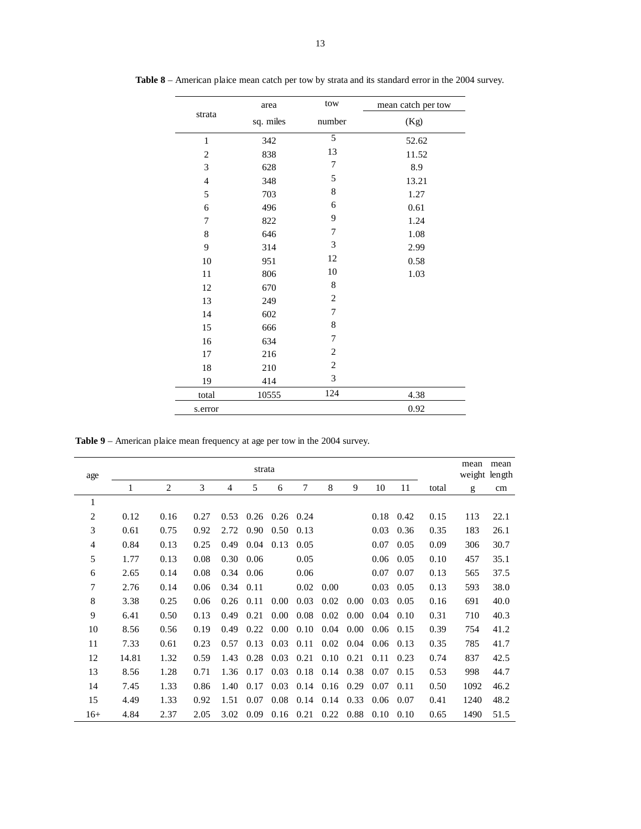|                             | area      | tow                         | mean catch per tow |
|-----------------------------|-----------|-----------------------------|--------------------|
| strata                      | sq. miles | number                      | (Kg)               |
| $\mathbf{1}$                | 342       | 5                           | 52.62              |
| $\overline{c}$              | 838       | 13                          | 11.52              |
| $\ensuremath{\mathfrak{Z}}$ | 628       | 7                           | 8.9                |
| $\overline{4}$              | 348       | 5                           | 13.21              |
| 5                           | 703       | $\,8\,$                     | 1.27               |
| $\sqrt{6}$                  | 496       | 6                           | 0.61               |
| 7                           | 822       | 9                           | 1.24               |
| $\,$ 8 $\,$                 | 646       | $\boldsymbol{7}$            | 1.08               |
| 9                           | 314       | $\ensuremath{\mathfrak{Z}}$ | 2.99               |
| 10                          | 951       | 12                          | 0.58               |
| 11                          | 806       | 10                          | 1.03               |
| 12                          | 670       | $\,$ 8 $\,$                 |                    |
| 13                          | 249       | $\overline{c}$              |                    |
| 14                          | 602       | 7                           |                    |
| 15                          | 666       | $\,$ 8 $\,$                 |                    |
| 16                          | 634       | 7                           |                    |
| 17                          | 216       | $\overline{c}$              |                    |
| $18\,$                      | 210       | $\sqrt{2}$                  |                    |
| 19                          | 414       | 3                           |                    |
| total                       | 10555     | 124                         | 4.38               |
| s.error                     |           |                             | 0.92               |

**Table 8** – American plaice mean catch per tow by strata and its standard error in the 2004 survey.

**Table 9** – American plaice mean frequency at age per tow in the 2004 survey.

| age   |       |                |      |      | strata |             |      |      |      |      |      |       | mean<br>weight length | mean |
|-------|-------|----------------|------|------|--------|-------------|------|------|------|------|------|-------|-----------------------|------|
|       | 1     | $\overline{2}$ | 3    | 4    | 5      | 6           | 7    | 8    | 9    | 10   | 11   | total | g                     | cm   |
| 1     |       |                |      |      |        |             |      |      |      |      |      |       |                       |      |
| 2     | 0.12  | 0.16           | 0.27 | 0.53 | 0.26   | $0.26$ 0.24 |      |      |      | 0.18 | 0.42 | 0.15  | 113                   | 22.1 |
| 3     | 0.61  | 0.75           | 0.92 | 2.72 | 0.90   | 0.50        | 0.13 |      |      | 0.03 | 0.36 | 0.35  | 183                   | 26.1 |
| 4     | 0.84  | 0.13           | 0.25 | 0.49 | 0.04   | 0.13        | 0.05 |      |      | 0.07 | 0.05 | 0.09  | 306                   | 30.7 |
| 5     | 1.77  | 0.13           | 0.08 | 0.30 | 0.06   |             | 0.05 |      |      | 0.06 | 0.05 | 0.10  | 457                   | 35.1 |
| 6     | 2.65  | 0.14           | 0.08 | 0.34 | 0.06   |             | 0.06 |      |      | 0.07 | 0.07 | 0.13  | 565                   | 37.5 |
| 7     | 2.76  | 0.14           | 0.06 | 0.34 | 0.11   |             | 0.02 | 0.00 |      | 0.03 | 0.05 | 0.13  | 593                   | 38.0 |
| 8     | 3.38  | 0.25           | 0.06 | 0.26 | 0.11   | 0.00        | 0.03 | 0.02 | 0.00 | 0.03 | 0.05 | 0.16  | 691                   | 40.0 |
| 9     | 6.41  | 0.50           | 0.13 | 0.49 | 0.21   | 0.00        | 0.08 | 0.02 | 0.00 | 0.04 | 0.10 | 0.31  | 710                   | 40.3 |
| 10    | 8.56  | 0.56           | 0.19 | 0.49 | 0.22   | 0.00        | 0.10 | 0.04 | 0.00 | 0.06 | 0.15 | 0.39  | 754                   | 41.2 |
| 11    | 7.33  | 0.61           | 0.23 | 0.57 | 0.13   | 0.03        | 0.11 | 0.02 | 0.04 | 0.06 | 0.13 | 0.35  | 785                   | 41.7 |
| 12    | 14.81 | 1.32           | 0.59 | 1.43 | 0.28   | 0.03        | 0.21 | 0.10 | 0.21 | 0.11 | 0.23 | 0.74  | 837                   | 42.5 |
| 13    | 8.56  | 1.28           | 0.71 | 1.36 | 0.17   | 0.03        | 0.18 | 0.14 | 0.38 | 0.07 | 0.15 | 0.53  | 998                   | 44.7 |
| 14    | 7.45  | 1.33           | 0.86 | 1.40 | 0.17   | 0.03        | 0.14 | 0.16 | 0.29 | 0.07 | 0.11 | 0.50  | 1092                  | 46.2 |
| 15    | 4.49  | 1.33           | 0.92 | 1.51 | 0.07   | 0.08        | 0.14 | 0.14 | 0.33 | 0.06 | 0.07 | 0.41  | 1240                  | 48.2 |
| $16+$ | 4.84  | 2.37           | 2.05 | 3.02 | 0.09   | 0.16        | 0.21 | 0.22 | 0.88 | 0.10 | 0.10 | 0.65  | 1490                  | 51.5 |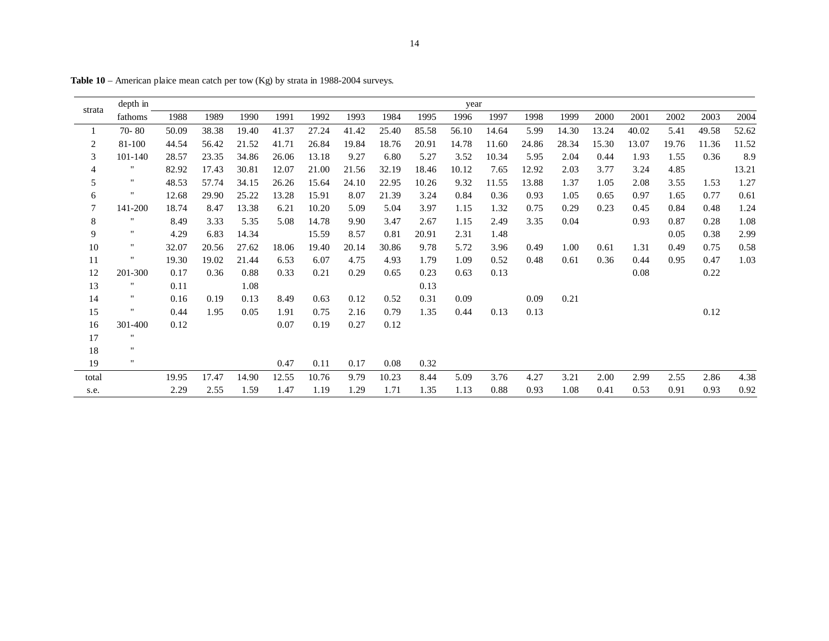| strata         | depth in           |       |       |       |       |       |       |       |       | year  |       |       |       |       |       |       |       |       |
|----------------|--------------------|-------|-------|-------|-------|-------|-------|-------|-------|-------|-------|-------|-------|-------|-------|-------|-------|-------|
|                | fathoms            | 1988  | 1989  | 1990  | 1991  | 1992  | 1993  | 1984  | 1995  | 1996  | 1997  | 1998  | 1999  | 2000  | 2001  | 2002  | 2003  | 2004  |
| $\mathbf{1}$   | $70 - 80$          | 50.09 | 38.38 | 19.40 | 41.37 | 27.24 | 41.42 | 25.40 | 85.58 | 56.10 | 14.64 | 5.99  | 14.30 | 13.24 | 40.02 | 5.41  | 49.58 | 52.62 |
| $\sqrt{2}$     | 81-100             | 44.54 | 56.42 | 21.52 | 41.71 | 26.84 | 19.84 | 18.76 | 20.91 | 14.78 | 11.60 | 24.86 | 28.34 | 15.30 | 13.07 | 19.76 | 11.36 | 11.52 |
| 3              | 101-140            | 28.57 | 23.35 | 34.86 | 26.06 | 13.18 | 9.27  | 6.80  | 5.27  | 3.52  | 10.34 | 5.95  | 2.04  | 0.44  | 1.93  | 1.55  | 0.36  | 8.9   |
| $\overline{4}$ |                    | 82.92 | 17.43 | 30.81 | 12.07 | 21.00 | 21.56 | 32.19 | 18.46 | 10.12 | 7.65  | 12.92 | 2.03  | 3.77  | 3.24  | 4.85  |       | 13.21 |
| $\sqrt{5}$     | $\pmb{\mathsf{H}}$ | 48.53 | 57.74 | 34.15 | 26.26 | 15.64 | 24.10 | 22.95 | 10.26 | 9.32  | 11.55 | 13.88 | 1.37  | 1.05  | 2.08  | 3.55  | 1.53  | 1.27  |
| 6              | $^{\prime}$        | 12.68 | 29.90 | 25.22 | 13.28 | 15.91 | 8.07  | 21.39 | 3.24  | 0.84  | 0.36  | 0.93  | 1.05  | 0.65  | 0.97  | 1.65  | 0.77  | 0.61  |
| $\tau$         | 141-200            | 18.74 | 8.47  | 13.38 | 6.21  | 10.20 | 5.09  | 5.04  | 3.97  | 1.15  | 1.32  | 0.75  | 0.29  | 0.23  | 0.45  | 0.84  | 0.48  | 1.24  |
| $\,8\,$        | $^{\prime}$        | 8.49  | 3.33  | 5.35  | 5.08  | 14.78 | 9.90  | 3.47  | 2.67  | 1.15  | 2.49  | 3.35  | 0.04  |       | 0.93  | 0.87  | 0.28  | 1.08  |
| 9              | $\pmb{\mathsf{H}}$ | 4.29  | 6.83  | 14.34 |       | 15.59 | 8.57  | 0.81  | 20.91 | 2.31  | 1.48  |       |       |       |       | 0.05  | 0.38  | 2.99  |
| 10             | $^{\prime\prime}$  | 32.07 | 20.56 | 27.62 | 18.06 | 19.40 | 20.14 | 30.86 | 9.78  | 5.72  | 3.96  | 0.49  | 1.00  | 0.61  | 1.31  | 0.49  | 0.75  | 0.58  |
| 11             | $^{\prime}$        | 19.30 | 19.02 | 21.44 | 6.53  | 6.07  | 4.75  | 4.93  | 1.79  | 1.09  | 0.52  | 0.48  | 0.61  | 0.36  | 0.44  | 0.95  | 0.47  | 1.03  |
| 12             | 201-300            | 0.17  | 0.36  | 0.88  | 0.33  | 0.21  | 0.29  | 0.65  | 0.23  | 0.63  | 0.13  |       |       |       | 0.08  |       | 0.22  |       |
| 13             | $\mathbf{H}$       | 0.11  |       | 1.08  |       |       |       |       | 0.13  |       |       |       |       |       |       |       |       |       |
| 14             | $^{\prime\prime}$  | 0.16  | 0.19  | 0.13  | 8.49  | 0.63  | 0.12  | 0.52  | 0.31  | 0.09  |       | 0.09  | 0.21  |       |       |       |       |       |
| 15             | $\pmb{\cdot}$      | 0.44  | 1.95  | 0.05  | 1.91  | 0.75  | 2.16  | 0.79  | 1.35  | 0.44  | 0.13  | 0.13  |       |       |       |       | 0.12  |       |
| 16             | 301-400            | 0.12  |       |       | 0.07  | 0.19  | 0.27  | 0.12  |       |       |       |       |       |       |       |       |       |       |
| 17             | $^{\prime\prime}$  |       |       |       |       |       |       |       |       |       |       |       |       |       |       |       |       |       |
| 18             | $\mathbf{H}$       |       |       |       |       |       |       |       |       |       |       |       |       |       |       |       |       |       |
| 19             | $\mathbf{H}$       |       |       |       | 0.47  | 0.11  | 0.17  | 0.08  | 0.32  |       |       |       |       |       |       |       |       |       |
| total          |                    | 19.95 | 17.47 | 14.90 | 12.55 | 10.76 | 9.79  | 10.23 | 8.44  | 5.09  | 3.76  | 4.27  | 3.21  | 2.00  | 2.99  | 2.55  | 2.86  | 4.38  |
| s.e.           |                    | 2.29  | 2.55  | 1.59  | 1.47  | 1.19  | 1.29  | 1.71  | 1.35  | 1.13  | 0.88  | 0.93  | 1.08  | 0.41  | 0.53  | 0.91  | 0.93  | 0.92  |

**Table 10** – American plaice mean catch per tow (Kg) by strata in 1988-2004 surveys.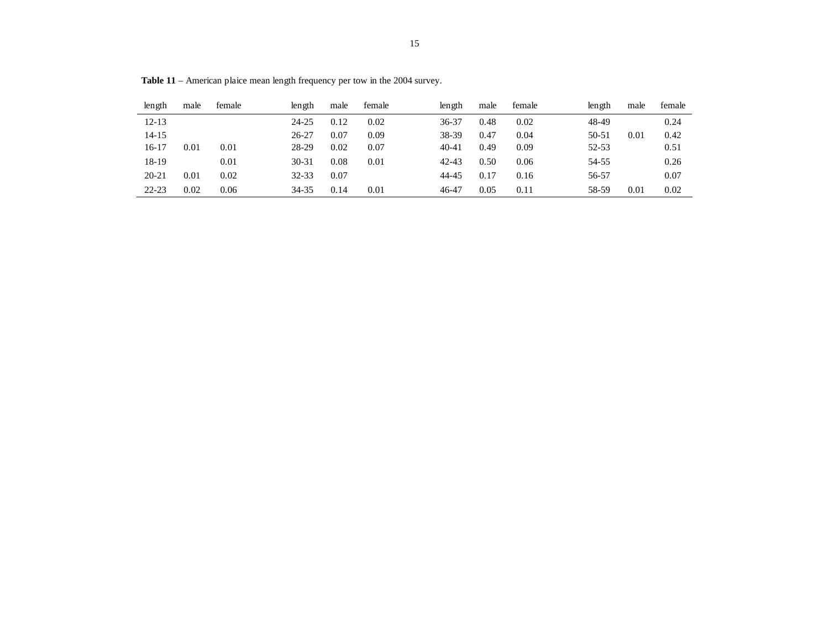| length    | male | female | length    | male | female | length    | male | female | length | male | female |
|-----------|------|--------|-----------|------|--------|-----------|------|--------|--------|------|--------|
| $12 - 13$ |      |        | 24-25     | 0.12 | 0.02   | 36-37     | 0.48 | 0.02   | 48-49  |      | 0.24   |
| 14-15     |      |        | $26 - 27$ | 0.07 | 0.09   | 38-39     | 0.47 | 0.04   | 50-51  | 0.01 | 0.42   |
| 16-17     | 0.01 | 0.01   | 28-29     | 0.02 | 0.07   | $40 - 41$ | 0.49 | 0.09   | 52-53  |      | 0.51   |
| 18-19     |      | 0.01   | $30 - 31$ | 0.08 | 0.01   | 42-43     | 0.50 | 0.06   | 54-55  |      | 0.26   |
| $20 - 21$ | 0.01 | 0.02   | 32-33     | 0.07 |        | 44-45     | 0.17 | 0.16   | 56-57  |      | 0.07   |
| $22 - 23$ | 0.02 | 0.06   | 34-35     | 0.14 | 0.01   | 46-47     | 0.05 | 0.11   | 58-59  | 0.01 | 0.02   |

**Table 11** – American plaice mean length frequency per tow in the 2004 survey.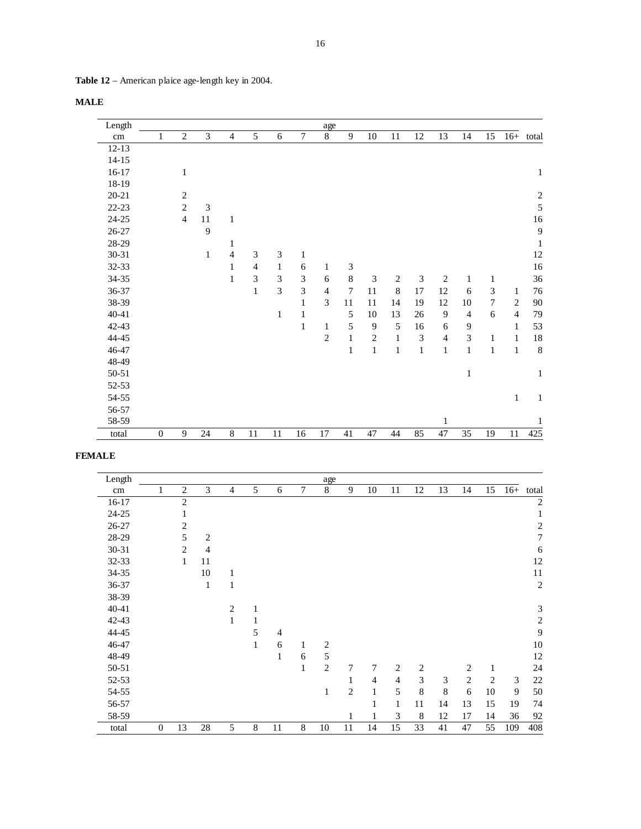| <b>Table 12</b> – American plaice age-length key in 2004. |  |  |  |
|-----------------------------------------------------------|--|--|--|
|-----------------------------------------------------------|--|--|--|

| Length    |                  |                |              |                |                |              |                             | age            |                             |              |              |                |                |                |                  |                |              |
|-----------|------------------|----------------|--------------|----------------|----------------|--------------|-----------------------------|----------------|-----------------------------|--------------|--------------|----------------|----------------|----------------|------------------|----------------|--------------|
| cm        | 1                | $\overline{2}$ | 3            | $\overline{4}$ | 5              | 6            | $\tau$                      | $8\,$          | 9                           | 10           | 11           | 12             | 13             | 14             | 15               | $16+$          | total        |
| $12 - 13$ |                  |                |              |                |                |              |                             |                |                             |              |              |                |                |                |                  |                |              |
| $14 - 15$ |                  |                |              |                |                |              |                             |                |                             |              |              |                |                |                |                  |                |              |
| $16-17$   |                  | $\mathbf{1}$   |              |                |                |              |                             |                |                             |              |              |                |                |                |                  |                | $\mathbf{1}$ |
| 18-19     |                  |                |              |                |                |              |                             |                |                             |              |              |                |                |                |                  |                |              |
| $20 - 21$ |                  | 2              |              |                |                |              |                             |                |                             |              |              |                |                |                |                  |                | $\sqrt{2}$   |
| $22 - 23$ |                  | $\overline{2}$ | 3            |                |                |              |                             |                |                             |              |              |                |                |                |                  |                | 5            |
| $24 - 25$ |                  | $\overline{4}$ | 11           | $\mathbf{1}$   |                |              |                             |                |                             |              |              |                |                |                |                  |                | 16           |
| $26 - 27$ |                  |                | 9            |                |                |              |                             |                |                             |              |              |                |                |                |                  |                | 9            |
| 28-29     |                  |                |              | 1              |                |              |                             |                |                             |              |              |                |                |                |                  |                | $\mathbf{1}$ |
| 30-31     |                  |                | $\mathbf{1}$ | $\overline{4}$ | 3              | 3            | $\mathbf{1}$                |                |                             |              |              |                |                |                |                  |                | 12           |
| 32-33     |                  |                |              | $\mathbf{1}$   | $\overline{4}$ | $\mathbf{1}$ | 6                           | 1              | $\ensuremath{\mathfrak{Z}}$ |              |              |                |                |                |                  |                | 16           |
| $34 - 35$ |                  |                |              | $\mathbf{1}$   | 3              | 3            | $\ensuremath{\mathfrak{Z}}$ | 6              | $\,8\,$                     | 3            | $\mathbf{2}$ | 3              | $\mathbf{2}$   | $\mathbf{1}$   | 1                |                | 36           |
| 36-37     |                  |                |              |                | $\mathbf{1}$   | 3            | $\mathfrak{Z}$              | $\overline{4}$ | $\tau$                      | 11           | 8            | 17             | 12             | 6              | $\mathfrak{Z}$   | $\mathbf{1}$   | 76           |
| 38-39     |                  |                |              |                |                |              | $\mathbf{1}$                | 3              | 11                          | $11\,$       | 14           | 19             | 12             | 10             | $\boldsymbol{7}$ | $\mathbf{2}$   | $90\,$       |
| $40 - 41$ |                  |                |              |                |                | $\mathbf{1}$ | $\mathbf{1}$                |                | 5                           | $10\,$       | 13           | 26             | $\overline{9}$ | $\overline{4}$ | $\sqrt{6}$       | $\overline{4}$ | 79           |
| 42-43     |                  |                |              |                |                |              | $\mathbf{1}$                | $\mathbf{1}$   | 5                           | 9            | 5            | 16             | 6              | 9              |                  | 1              | 53           |
| 44-45     |                  |                |              |                |                |              |                             | $\mathbf{2}$   | $\,1\,$                     | $\mathbf{2}$ | $\,1$        | $\mathfrak{Z}$ | $\overline{4}$ | $\overline{3}$ | $\mathbf{1}$     | $\mathbf{1}$   | 18           |
| 46-47     |                  |                |              |                |                |              |                             |                | $\mathbf{1}$                | $\,1$        | $\,1$        | $\,1$          | $\,1$          | $\mathbf{1}$   | $\mathbf{1}$     | $\mathbf{1}$   | 8            |
| 48-49     |                  |                |              |                |                |              |                             |                |                             |              |              |                |                |                |                  |                |              |
| 50-51     |                  |                |              |                |                |              |                             |                |                             |              |              |                |                | $\mathbf{1}$   |                  |                | $\mathbf{1}$ |
| 52-53     |                  |                |              |                |                |              |                             |                |                             |              |              |                |                |                |                  |                |              |
| 54-55     |                  |                |              |                |                |              |                             |                |                             |              |              |                |                |                |                  | $\mathbf{1}$   | $\mathbf{1}$ |
| 56-57     |                  |                |              |                |                |              |                             |                |                             |              |              |                |                |                |                  |                |              |
| 58-59     |                  |                |              |                |                |              |                             |                |                             |              |              |                | $\mathbf{1}$   |                |                  |                | $\mathbf{1}$ |
| total     | $\boldsymbol{0}$ | 9              | 24           | $\,8\,$        | $11\,$         | $11\,$       | 16                          | $17\,$         | 41                          | 47           | 44           | 85             | 47             | 35             | 19               | $11\,$         | 425          |

## **FEMALE**

| Length    |                  |                |                |                |              |                |                | age            |                |                |                |                         |                |            |                |       |                  |
|-----------|------------------|----------------|----------------|----------------|--------------|----------------|----------------|----------------|----------------|----------------|----------------|-------------------------|----------------|------------|----------------|-------|------------------|
| $\rm cm$  | 1                | $\overline{2}$ | 3              | $\overline{4}$ | 5            | 6              | $\overline{7}$ | 8              | 9              | 10             | 11             | 12                      | 13             | 14         | 15             | $16+$ | total            |
| $16-17$   |                  | $\mathbf{2}$   |                |                |              |                |                |                |                |                |                |                         |                |            |                |       | $\overline{c}$   |
| 24-25     |                  | 1              |                |                |              |                |                |                |                |                |                |                         |                |            |                |       | 1                |
| $26 - 27$ |                  | $\overline{c}$ |                |                |              |                |                |                |                |                |                |                         |                |            |                |       | $\overline{c}$   |
| 28-29     |                  | 5              | $\overline{2}$ |                |              |                |                |                |                |                |                |                         |                |            |                |       | $\boldsymbol{7}$ |
| 30-31     |                  | 2              | $\overline{4}$ |                |              |                |                |                |                |                |                |                         |                |            |                |       | 6                |
| 32-33     |                  | $\mathbf{1}$   | 11             |                |              |                |                |                |                |                |                |                         |                |            |                |       | 12               |
| 34-35     |                  |                | $10\,$         | $\mathbf{1}$   |              |                |                |                |                |                |                |                         |                |            |                |       | 11               |
| 36-37     |                  |                | $\mathbf{1}$   | $\mathbf{1}$   |              |                |                |                |                |                |                |                         |                |            |                |       | $\sqrt{2}$       |
| 38-39     |                  |                |                |                |              |                |                |                |                |                |                |                         |                |            |                |       |                  |
| $40 - 41$ |                  |                |                | 2              | 1            |                |                |                |                |                |                |                         |                |            |                |       | $\mathfrak 3$    |
| $42 - 43$ |                  |                |                | $\mathbf{1}$   | 1            |                |                |                |                |                |                |                         |                |            |                |       | $\sqrt{2}$       |
| 44-45     |                  |                |                |                | 5            | $\overline{4}$ |                |                |                |                |                |                         |                |            |                |       | 9                |
| 46-47     |                  |                |                |                | $\mathbf{1}$ | 6              | 1              | $\overline{c}$ |                |                |                |                         |                |            |                |       | 10               |
| 48-49     |                  |                |                |                |              | 1              | 6              | $\sqrt{5}$     |                |                |                |                         |                |            |                |       | 12               |
| 50-51     |                  |                |                |                |              |                | $\mathbf{1}$   | $\mathfrak{2}$ | 7              | 7              | $\overline{c}$ | $\overline{\mathbf{c}}$ |                | 2          | $\mathbf{1}$   |       | 24               |
| 52-53     |                  |                |                |                |              |                |                |                | 1              | $\overline{4}$ | $\overline{4}$ | 3                       | $\mathfrak{Z}$ | $\sqrt{2}$ | $\overline{2}$ | 3     | 22               |
| 54-55     |                  |                |                |                |              |                |                | $\mathbf{1}$   | $\overline{2}$ | $\mathbf{1}$   | 5              | 8                       | $\,8\,$        | 6          | 10             | 9     | 50               |
| 56-57     |                  |                |                |                |              |                |                |                |                | 1              | $\mathbf{1}$   | 11                      | 14             | 13         | 15             | 19    | 74               |
| 58-59     |                  |                |                |                |              |                |                |                | $\mathbf{1}$   | $\mathbf{1}$   | 3              | $\,8\,$                 | 12             | 17         | 14             | 36    | 92               |
| total     | $\boldsymbol{0}$ | 13             | 28             | 5              | 8            | 11             | 8              | 10             | 11             | 14             | 15             | 33                      | 41             | 47         | 55             | 109   | 408              |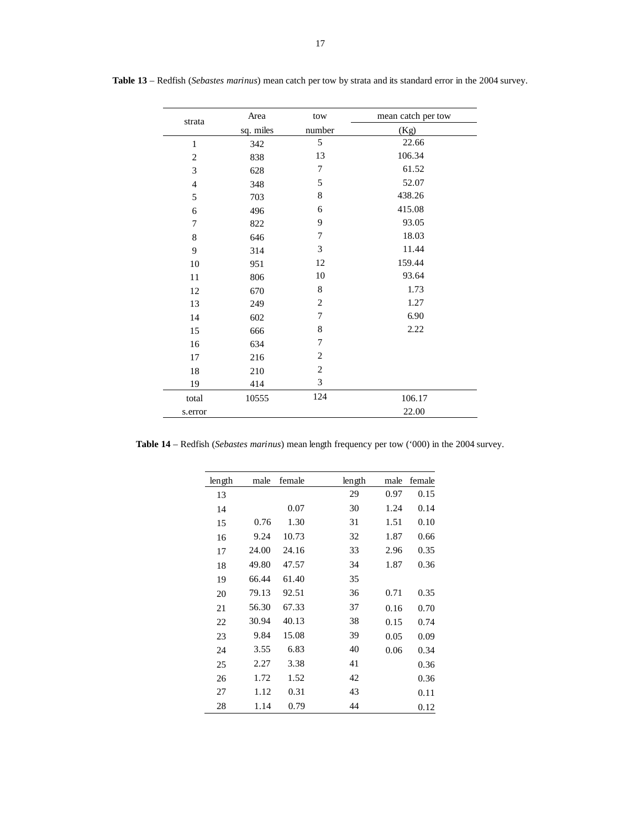| strata         | Area      | tow            | mean catch per tow |
|----------------|-----------|----------------|--------------------|
|                | sq. miles | number         | (Kg)               |
| $\mathbf{1}$   | 342       | 5              | 22.66              |
| $\overline{c}$ | 838       | 13             | 106.34             |
| 3              | 628       | 7              | 61.52              |
| $\overline{4}$ | 348       | 5              | 52.07              |
| 5              | 703       | $\,$ 8 $\,$    | 438.26             |
| 6              | 496       | 6              | 415.08             |
| 7              | 822       | 9              | 93.05              |
| 8              | 646       | 7              | 18.03              |
| 9              | 314       | 3              | 11.44              |
| $10\,$         | 951       | 12             | 159.44             |
| 11             | 806       | 10             | 93.64              |
| 12             | 670       | 8              | 1.73               |
| 13             | 249       | $\overline{2}$ | 1.27               |
| 14             | 602       | 7              | 6.90               |
| 15             | 666       | $\,$ 8 $\,$    | 2.22               |
| 16             | 634       | 7              |                    |
| 17             | 216       | $\overline{2}$ |                    |
| 18             | 210       | $\overline{2}$ |                    |
| 19             | 414       | 3              |                    |
| total          | 10555     | 124            | 106.17             |
| s.error        |           |                | 22.00              |

**Table 13** – Redfish (*Sebastes marinus*) mean catch per tow by strata and its standard error in the 2004 survey.

**Table 14** – Redfish (*Sebastes marinus*) mean length frequency per tow ('000) in the 2004 survey.

| length | male  | female | length | male | female |
|--------|-------|--------|--------|------|--------|
| 13     |       |        | 29     | 0.97 | 0.15   |
| 14     |       | 0.07   | 30     | 1.24 | 0.14   |
| 15     | 0.76  | 1.30   | 31     | 1.51 | 0.10   |
| 16     | 9.24  | 10.73  | 32     | 1.87 | 0.66   |
| 17     | 24.00 | 24.16  | 33     | 2.96 | 0.35   |
| 18     | 49.80 | 47.57  | 34     | 1.87 | 0.36   |
| 19     | 66.44 | 61.40  | 35     |      |        |
| 20     | 79.13 | 92.51  | 36     | 0.71 | 0.35   |
| 21     | 56.30 | 67.33  | 37     | 0.16 | 0.70   |
| 22     | 30.94 | 40.13  | 38     | 0.15 | 0.74   |
| 23     | 9.84  | 15.08  | 39     | 0.05 | 0.09   |
| 24     | 3.55  | 6.83   | 40     | 0.06 | 0.34   |
| 25     | 2.27  | 3.38   | 41     |      | 0.36   |
| 26     | 1.72  | 1.52   | 42     |      | 0.36   |
| 27     | 1.12  | 0.31   | 43     |      | 0.11   |
| 28     | 1.14  | 0.79   | 44     |      | 0.12   |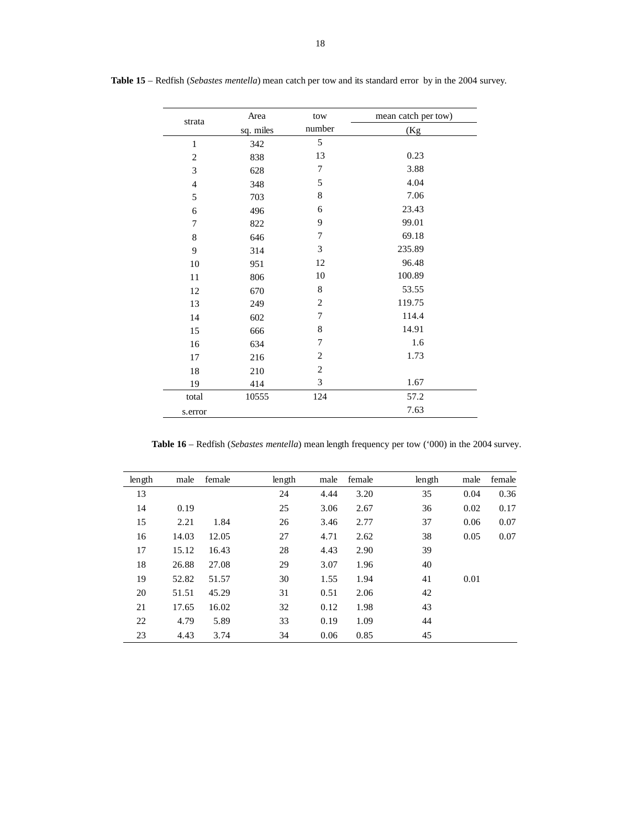| strata         | Area      | tow            | mean catch per tow) |
|----------------|-----------|----------------|---------------------|
|                | sq. miles | number         | (Kg                 |
| $\mathbf{1}$   | 342       | 5              |                     |
| $\overline{c}$ | 838       | 13             | 0.23                |
| 3              | 628       | 7              | 3.88                |
| $\overline{4}$ | 348       | 5              | 4.04                |
| 5              | 703       | 8              | 7.06                |
| 6              | 496       | 6              | 23.43               |
| 7              | 822       | 9              | 99.01               |
| $\,$ 8 $\,$    | 646       | 7              | 69.18               |
| 9              | 314       | 3              | 235.89              |
| 10             | 951       | 12             | 96.48               |
| 11             | 806       | 10             | 100.89              |
| 12             | 670       | 8              | 53.55               |
| 13             | 249       | $\overline{2}$ | 119.75              |
| 14             | 602       | 7              | 114.4               |
| 15             | 666       | 8              | 14.91               |
| 16             | 634       | 7              | 1.6                 |
| 17             | 216       | $\overline{2}$ | 1.73                |
| 18             | 210       | $\overline{2}$ |                     |
| 19             | 414       | 3              | 1.67                |
| total          | 10555     | 124            | 57.2                |
| s.error        |           |                | 7.63                |

 **Table 15** – Redfish (*Sebastes mentella*) mean catch per tow and its standard error by in the 2004 survey.

**Table 16** – Redfish (*Sebastes mentella*) mean length frequency per tow ('000) in the 2004 survey.

| length | male  | female | length | male | female | length | male | female |
|--------|-------|--------|--------|------|--------|--------|------|--------|
| 13     |       |        | 24     | 4.44 | 3.20   | 35     | 0.04 | 0.36   |
| 14     | 0.19  |        | 25     | 3.06 | 2.67   | 36     | 0.02 | 0.17   |
| 15     | 2.21  | 1.84   | 26     | 3.46 | 2.77   | 37     | 0.06 | 0.07   |
| 16     | 14.03 | 12.05  | 27     | 4.71 | 2.62   | 38     | 0.05 | 0.07   |
| 17     | 15.12 | 16.43  | 28     | 4.43 | 2.90   | 39     |      |        |
| 18     | 26.88 | 27.08  | 29     | 3.07 | 1.96   | 40     |      |        |
| 19     | 52.82 | 51.57  | 30     | 1.55 | 1.94   | 41     | 0.01 |        |
| 20     | 51.51 | 45.29  | 31     | 0.51 | 2.06   | 42     |      |        |
| 21     | 17.65 | 16.02  | 32     | 0.12 | 1.98   | 43     |      |        |
| 22     | 4.79  | 5.89   | 33     | 0.19 | 1.09   | 44     |      |        |
| 23     | 4.43  | 3.74   | 34     | 0.06 | 0.85   | 45     |      |        |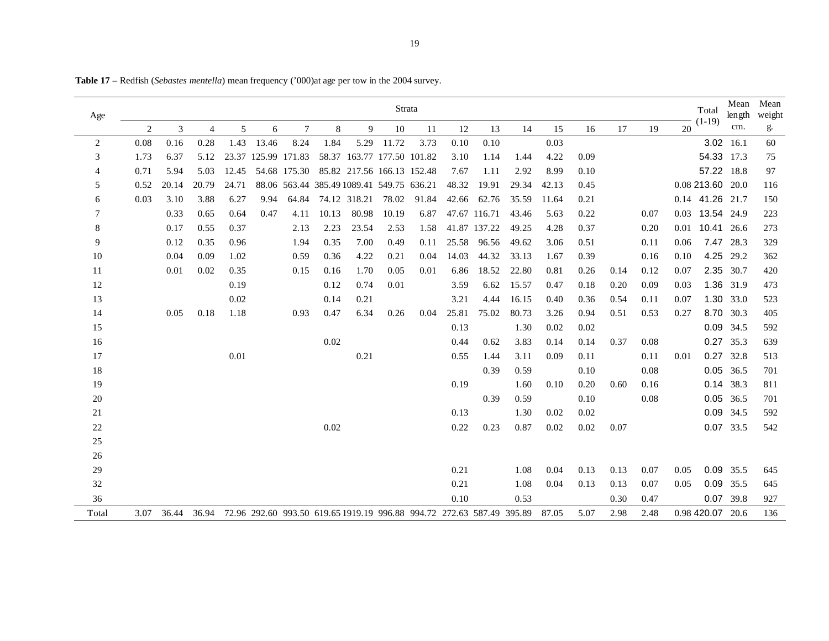| Age            |      |       |       |       |       |                     |       |              | Strata                                    |               |       |                                                                       |       |       |      |      |      |      | Total            | Mean<br>length | Mean<br>weight |
|----------------|------|-------|-------|-------|-------|---------------------|-------|--------------|-------------------------------------------|---------------|-------|-----------------------------------------------------------------------|-------|-------|------|------|------|------|------------------|----------------|----------------|
|                | 2    | 3     | 4     | 5     | 6     | 7                   | 8     | 9            | 10                                        | <sup>11</sup> | 12    | 13                                                                    | 14    | 15    | 16   | 17   | 19   | 20   | $(1-19)$         | cm.            | g.             |
| $\overline{2}$ | 0.08 | 0.16  | 0.28  | 1.43  | 13.46 | 8.24                | 1.84  | 5.29         | 11.72                                     | 3.73          | 0.10  | 0.10                                                                  |       | 0.03  |      |      |      |      |                  | 3.02 16.1      | 60             |
| 3              | 1.73 | 6.37  | 5.12  |       |       | 23.37 125.99 171.83 |       |              | 58.37 163.77 177.50 101.82                |               | 3.10  | 1.14                                                                  | 1.44  | 4.22  | 0.09 |      |      |      | 54.33 17.3       |                | 75             |
| 4              | 0.71 | 5.94  | 5.03  | 12.45 |       | 54.68 175.30        |       |              | 85.82 217.56 166.13 152.48                |               | 7.67  | 1.11                                                                  | 2.92  | 8.99  | 0.10 |      |      |      | 57.22 18.8       |                | 97             |
| 5              | 0.52 | 20.14 | 20.79 | 24.71 |       |                     |       |              | 88.06 563.44 385.49 1089.41 549.75 636.21 |               | 48.32 | 19.91                                                                 | 29.34 | 42.13 | 0.45 |      |      |      | 0.08 213.60 20.0 |                | 116            |
| 6              | 0.03 | 3.10  | 3.88  | 6.27  | 9.94  | 64.84               |       | 74.12 318.21 | 78.02                                     | 91.84         | 42.66 | 62.76                                                                 | 35.59 | 11.64 | 0.21 |      |      |      | 0.14 41.26 21.7  |                | 150            |
| 7              |      | 0.33  | 0.65  | 0.64  | 0.47  | 4.11                | 10.13 | 80.98        | 10.19                                     | 6.87          |       | 47.67 116.71                                                          | 43.46 | 5.63  | 0.22 |      | 0.07 |      | 0.03 13.54 24.9  |                | 223            |
| 8              |      | 0.17  | 0.55  | 0.37  |       | 2.13                | 2.23  | 23.54        | 2.53                                      | 1.58          |       | 41.87 137.22                                                          | 49.25 | 4.28  | 0.37 |      | 0.20 |      | 0.01 10.41 26.6  |                | 273            |
| 9              |      | 0.12  | 0.35  | 0.96  |       | 1.94                | 0.35  | 7.00         | 0.49                                      | 0.11          | 25.58 | 96.56                                                                 | 49.62 | 3.06  | 0.51 |      | 0.11 | 0.06 | 7.47             | 28.3           | 329            |
| 10             |      | 0.04  | 0.09  | 1.02  |       | 0.59                | 0.36  | 4.22         | 0.21                                      | 0.04          | 14.03 | 44.32                                                                 | 33.13 | 1.67  | 0.39 |      | 0.16 | 0.10 |                  | 4.25 29.2      | 362            |
| 11             |      | 0.01  | 0.02  | 0.35  |       | 0.15                | 0.16  | 1.70         | 0.05                                      | 0.01          | 6.86  | 18.52                                                                 | 22.80 | 0.81  | 0.26 | 0.14 | 0.12 | 0.07 |                  | 2.35 30.7      | 420            |
| 12             |      |       |       | 0.19  |       |                     | 0.12  | 0.74         | 0.01                                      |               | 3.59  | 6.62                                                                  | 15.57 | 0.47  | 0.18 | 0.20 | 0.09 | 0.03 |                  | 1.36 31.9      | 473            |
| 13             |      |       |       | 0.02  |       |                     | 0.14  | 0.21         |                                           |               | 3.21  | 4.44                                                                  | 16.15 | 0.40  | 0.36 | 0.54 | 0.11 | 0.07 | 1.30             | 33.0           | 523            |
| 14             |      | 0.05  | 0.18  | 1.18  |       | 0.93                | 0.47  | 6.34         | 0.26                                      | 0.04          | 25.81 | 75.02                                                                 | 80.73 | 3.26  | 0.94 | 0.51 | 0.53 | 0.27 |                  | 8.70 30.3      | 405            |
| 15             |      |       |       |       |       |                     |       |              |                                           |               | 0.13  |                                                                       | 1.30  | 0.02  | 0.02 |      |      |      |                  | 0.09 34.5      | 592            |
| 16             |      |       |       |       |       |                     | 0.02  |              |                                           |               | 0.44  | 0.62                                                                  | 3.83  | 0.14  | 0.14 | 0.37 | 0.08 |      |                  | 0.27 35.3      | 639            |
| 17             |      |       |       | 0.01  |       |                     |       | 0.21         |                                           |               | 0.55  | 1.44                                                                  | 3.11  | 0.09  | 0.11 |      | 0.11 | 0.01 | 0.27             | 32.8           | 513            |
| 18             |      |       |       |       |       |                     |       |              |                                           |               |       | 0.39                                                                  | 0.59  |       | 0.10 |      | 0.08 |      |                  | 0.05 36.5      | 701            |
| 19             |      |       |       |       |       |                     |       |              |                                           |               | 0.19  |                                                                       | 1.60  | 0.10  | 0.20 | 0.60 | 0.16 |      |                  | 0.14 38.3      | 811            |
| $20\,$         |      |       |       |       |       |                     |       |              |                                           |               |       | 0.39                                                                  | 0.59  |       | 0.10 |      | 0.08 |      |                  | 0.05 36.5      | 701            |
| 21             |      |       |       |       |       |                     |       |              |                                           |               | 0.13  |                                                                       | 1.30  | 0.02  | 0.02 |      |      |      |                  | 0.09 34.5      | 592            |
| $22\,$         |      |       |       |       |       |                     | 0.02  |              |                                           |               | 0.22  | 0.23                                                                  | 0.87  | 0.02  | 0.02 | 0.07 |      |      |                  | 0.07 33.5      | 542            |
| $25\,$         |      |       |       |       |       |                     |       |              |                                           |               |       |                                                                       |       |       |      |      |      |      |                  |                |                |
| $26\,$         |      |       |       |       |       |                     |       |              |                                           |               |       |                                                                       |       |       |      |      |      |      |                  |                |                |
| $29\,$         |      |       |       |       |       |                     |       |              |                                           |               | 0.21  |                                                                       | 1.08  | 0.04  | 0.13 | 0.13 | 0.07 | 0.05 |                  | 0.09 35.5      | 645            |
| 32             |      |       |       |       |       |                     |       |              |                                           |               | 0.21  |                                                                       | 1.08  | 0.04  | 0.13 | 0.13 | 0.07 | 0.05 |                  | 0.09 35.5      | 645            |
| 36             |      |       |       |       |       |                     |       |              |                                           |               | 0.10  |                                                                       | 0.53  |       |      | 0.30 | 0.47 |      |                  | 0.07 39.8      | 927            |
| Total          | 3.07 | 36.44 | 36.94 |       |       |                     |       |              |                                           |               |       | 72.96 292.60 993.50 619.65 1919.19 996.88 994.72 272.63 587.49 395.89 |       | 87.05 | 5.07 | 2.98 | 2.48 |      | 0.98 420.07 20.6 |                | 136            |

**Table 17** – Redfish (*Sebastes mentella*) mean frequency ('000)at age per tow in the 2004 survey.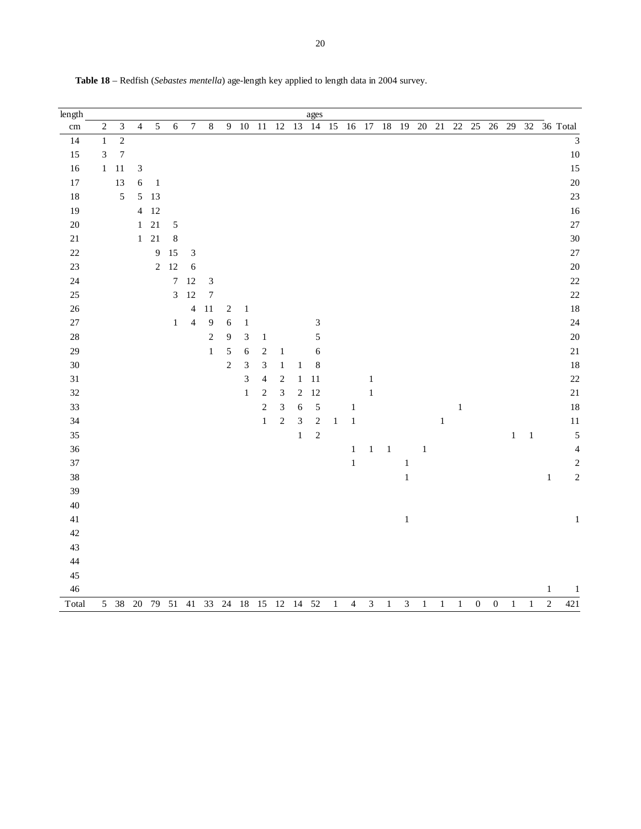| $length$        |                             |                  |                             |            |                |                  |                  |                |                |                            |                  |              | ages                        |         |                |                |        |                |         |              |        |                  |                  |       |         |                |                           |
|-----------------|-----------------------------|------------------|-----------------------------|------------|----------------|------------------|------------------|----------------|----------------|----------------------------|------------------|--------------|-----------------------------|---------|----------------|----------------|--------|----------------|---------|--------------|--------|------------------|------------------|-------|---------|----------------|---------------------------|
| $\,\mathrm{cm}$ | $\sqrt{2}$                  | $\mathfrak{Z}$   | $\overline{4}$              | 5          | 6              | $\boldsymbol{7}$ | $\,8\,$          | $\overline{9}$ | $10\,$         | 11                         | 12               | 13           | 14                          | 15      | $16\,$         | 17             | $18\,$ | 19             | $20\,$  | $21\,$       | $22\,$ | $25\,$           | $26\,$           | 29    | $32\,$  |                | 36 Total                  |
| 14              | $\,1\,$                     | $\overline{c}$   |                             |            |                |                  |                  |                |                |                            |                  |              |                             |         |                |                |        |                |         |              |        |                  |                  |       |         |                | $\overline{\overline{3}}$ |
| 15              | $\ensuremath{\mathfrak{Z}}$ | $\boldsymbol{7}$ |                             |            |                |                  |                  |                |                |                            |                  |              |                             |         |                |                |        |                |         |              |        |                  |                  |       |         |                | $10\,$                    |
| 16              | $\,1\,$                     | $11\,$           | $\ensuremath{\mathfrak{Z}}$ |            |                |                  |                  |                |                |                            |                  |              |                             |         |                |                |        |                |         |              |        |                  |                  |       |         |                | 15                        |
| $17\,$          |                             | 13               | 6                           | $\,1\,$    |                |                  |                  |                |                |                            |                  |              |                             |         |                |                |        |                |         |              |        |                  |                  |       |         |                | 20                        |
| 18              |                             | $\sqrt{5}$       | 5                           | 13         |                |                  |                  |                |                |                            |                  |              |                             |         |                |                |        |                |         |              |        |                  |                  |       |         |                | 23                        |
| 19              |                             |                  | $\overline{4}$              | 12         |                |                  |                  |                |                |                            |                  |              |                             |         |                |                |        |                |         |              |        |                  |                  |       |         |                | 16                        |
| $20\,$          |                             |                  | $\mathbf{1}$                | $21\,$     | 5              |                  |                  |                |                |                            |                  |              |                             |         |                |                |        |                |         |              |        |                  |                  |       |         |                | 27                        |
| 21              |                             |                  | $\,1$                       | $21\,$     | $\,$ 8 $\,$    |                  |                  |                |                |                            |                  |              |                             |         |                |                |        |                |         |              |        |                  |                  |       |         |                | 30                        |
| $22\,$          |                             |                  |                             | 9          | 15             | $\mathfrak{Z}$   |                  |                |                |                            |                  |              |                             |         |                |                |        |                |         |              |        |                  |                  |       |         |                | 27                        |
| $23\,$          |                             |                  |                             | $\sqrt{2}$ | 12             | 6                |                  |                |                |                            |                  |              |                             |         |                |                |        |                |         |              |        |                  |                  |       |         |                | 20                        |
| 24              |                             |                  |                             |            | $\sqrt{ }$     | 12               | $\sqrt{3}$       |                |                |                            |                  |              |                             |         |                |                |        |                |         |              |        |                  |                  |       |         |                | 22                        |
| $25\,$          |                             |                  |                             |            | $\mathfrak{Z}$ | 12               | $\boldsymbol{7}$ |                |                |                            |                  |              |                             |         |                |                |        |                |         |              |        |                  |                  |       |         |                | 22                        |
| $26\,$          |                             |                  |                             |            |                | $\overline{4}$   | 11               | $\sqrt{2}$     | $\mathbf{1}$   |                            |                  |              |                             |         |                |                |        |                |         |              |        |                  |                  |       |         |                | 18                        |
| $27\,$          |                             |                  |                             |            | $\,1$          | $\overline{4}$   | 9                | $\sqrt{6}$     | $\,1\,$        |                            |                  |              | $\ensuremath{\mathfrak{Z}}$ |         |                |                |        |                |         |              |        |                  |                  |       |         |                | 24                        |
| $28\,$          |                             |                  |                             |            |                |                  | $\sqrt{2}$       | $\overline{9}$ | $\mathfrak{Z}$ | $\,1$                      |                  |              | $\sqrt{5}$                  |         |                |                |        |                |         |              |        |                  |                  |       |         |                | 20                        |
| 29              |                             |                  |                             |            |                |                  | $\mathbf 1$      | $\sqrt{5}$     | $\sqrt{6}$     | $\sqrt{2}$                 | $\mathbf{1}$     |              | $\boldsymbol{6}$            |         |                |                |        |                |         |              |        |                  |                  |       |         |                | 21                        |
| $30\,$          |                             |                  |                             |            |                |                  |                  | $\sqrt{2}$     | 3              | $\overline{3}$             | $\mathbf{1}$     | $\,1\,$      | $\,$ 8 $\,$                 |         |                |                |        |                |         |              |        |                  |                  |       |         |                | 18                        |
| $31\,$          |                             |                  |                             |            |                |                  |                  |                | 3              | $\overline{\mathcal{A}}$   | $\boldsymbol{2}$ | $\mathbf{1}$ | 11                          |         |                | $\,1$          |        |                |         |              |        |                  |                  |       |         |                | 22                        |
| $32\,$          |                             |                  |                             |            |                |                  |                  |                | $\mathbf 1$    | $\sqrt{2}$                 | $\mathfrak{Z}$   | $\sqrt{2}$   | 12                          |         |                | $\,1\,$        |        |                |         |              |        |                  |                  |       |         |                | 21                        |
| 33              |                             |                  |                             |            |                |                  |                  |                |                | $\overline{c}$             | $\sqrt{3}$       | $\sqrt{6}$   | 5                           |         | $\,1$          |                |        |                |         |              | $\,1$  |                  |                  |       |         |                | 18                        |
| 34              |                             |                  |                             |            |                |                  |                  |                |                | $\,1$                      | $\sqrt{2}$       | $\sqrt{3}$   | $\sqrt{2}$                  | $\,1$   | $\,1\,$        |                |        |                |         | $\mathbf{1}$ |        |                  |                  |       |         |                | 11                        |
| 35              |                             |                  |                             |            |                |                  |                  |                |                |                            |                  | $\,1\,$      | $\sqrt{2}$                  |         |                |                |        |                |         |              |        |                  |                  | $\,1$ | $\,1\,$ |                | 5                         |
| 36              |                             |                  |                             |            |                |                  |                  |                |                |                            |                  |              |                             |         | $\,1$          | $\,1\,$        | $\,1$  |                | $\,1\,$ |              |        |                  |                  |       |         |                | $\overline{\mathcal{L}}$  |
| $37\,$          |                             |                  |                             |            |                |                  |                  |                |                |                            |                  |              |                             |         | $\,1$          |                |        | $\,1\,$        |         |              |        |                  |                  |       |         |                | $\overline{\mathbf{c}}$   |
| $38\,$          |                             |                  |                             |            |                |                  |                  |                |                |                            |                  |              |                             |         |                |                |        | $\,1\,$        |         |              |        |                  |                  |       |         | $\mathbf{1}$   | $\overline{c}$            |
| 39              |                             |                  |                             |            |                |                  |                  |                |                |                            |                  |              |                             |         |                |                |        |                |         |              |        |                  |                  |       |         |                |                           |
| 40              |                             |                  |                             |            |                |                  |                  |                |                |                            |                  |              |                             |         |                |                |        |                |         |              |        |                  |                  |       |         |                |                           |
| $41\,$          |                             |                  |                             |            |                |                  |                  |                |                |                            |                  |              |                             |         |                |                |        | $\,1\,$        |         |              |        |                  |                  |       |         |                | $\mathbf{1}$              |
| $42\,$          |                             |                  |                             |            |                |                  |                  |                |                |                            |                  |              |                             |         |                |                |        |                |         |              |        |                  |                  |       |         |                |                           |
| 43              |                             |                  |                             |            |                |                  |                  |                |                |                            |                  |              |                             |         |                |                |        |                |         |              |        |                  |                  |       |         |                |                           |
| 44              |                             |                  |                             |            |                |                  |                  |                |                |                            |                  |              |                             |         |                |                |        |                |         |              |        |                  |                  |       |         |                |                           |
| $45\,$          |                             |                  |                             |            |                |                  |                  |                |                |                            |                  |              |                             |         |                |                |        |                |         |              |        |                  |                  |       |         |                |                           |
| $46\,$          |                             |                  |                             |            |                |                  |                  |                |                |                            |                  |              |                             |         |                |                |        |                |         |              |        |                  |                  |       |         | $\mathbf{1}$   | $\mathbf{1}$              |
| Total           |                             | 5 38 20 79       |                             |            | 51             | 41               |                  |                |                | 33  24  18  15  12  14  52 |                  |              |                             | $\,1\,$ | $\overline{4}$ | $\overline{3}$ | $\,1$  | $\overline{3}$ | $\,1$   | $\,1$        | $\,1$  | $\boldsymbol{0}$ | $\boldsymbol{0}$ | $\,1$ | $\,1\,$ | $\overline{2}$ | 421                       |

**Table 18** – Redfish (*Sebastes mentella*) age-length key applied to length data in 2004 survey.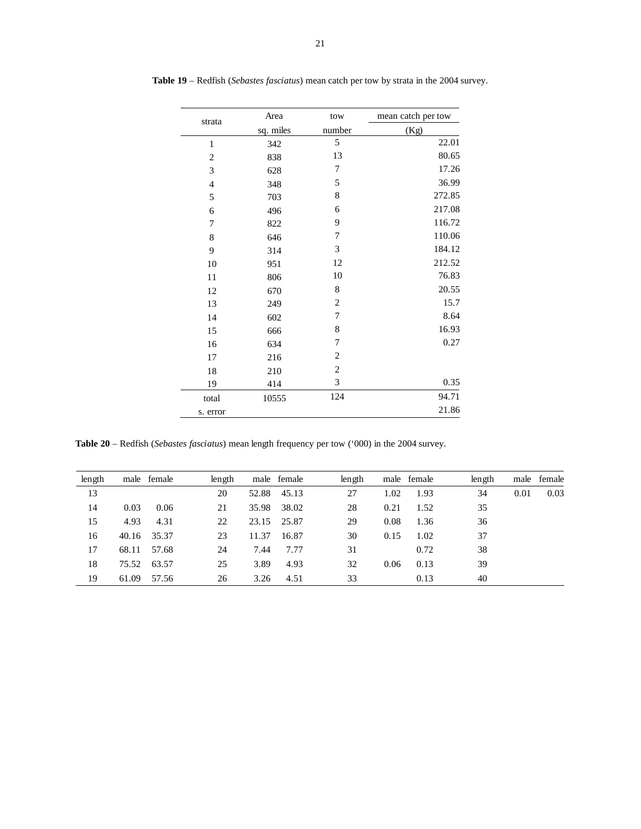| strata         | Area      | tow            | mean catch per tow |
|----------------|-----------|----------------|--------------------|
|                | sq. miles | number         | (Kg)               |
| $\mathbf{1}$   | 342       | 5              | 22.01              |
| $\overline{c}$ | 838       | 13             | 80.65              |
| 3              | 628       | 7              | 17.26              |
| $\overline{4}$ | 348       | 5              | 36.99              |
| 5              | 703       | 8              | 272.85             |
| 6              | 496       | 6              | 217.08             |
| 7              | 822       | 9              | 116.72             |
| 8              | 646       | 7              | 110.06             |
| 9              | 314       | 3              | 184.12             |
| 10             | 951       | 12             | 212.52             |
| 11             | 806       | 10             | 76.83              |
| 12             | 670       | 8              | 20.55              |
| 13             | 249       | $\overline{c}$ | 15.7               |
| 14             | 602       | 7              | 8.64               |
| 15             | 666       | 8              | 16.93              |
| 16             | 634       | 7              | 0.27               |
| 17             | 216       | $\overline{c}$ |                    |
| 18             | 210       | $\overline{c}$ |                    |
| 19             | 414       | 3              | 0.35               |
| total          | 10555     | 124            | 94.71              |
| s. error       |           |                | 21.86              |

**Table 19** – Redfish (*Sebastes fasciatus*) mean catch per tow by strata in the 2004 survey.

**Table 20** – Redfish (*Sebastes fasciatus*) mean length frequency per tow ('000) in the 2004 survey.

| length |       | male female | length |       | male female | length |      | male female | length |      | male female |
|--------|-------|-------------|--------|-------|-------------|--------|------|-------------|--------|------|-------------|
| 13     |       |             | 20     | 52.88 | 45.13       | 27     | 1.02 | 1.93        | 34     | 0.01 | 0.03        |
| 14     | 0.03  | 0.06        | 21     | 35.98 | 38.02       | 28     | 0.21 | 1.52        | 35     |      |             |
| 15     | 4.93  | 4.31        | 22     | 23.15 | 25.87       | 29     | 0.08 | 1.36        | 36     |      |             |
| 16     | 40.16 | 35.37       | 23     | 11.37 | 16.87       | 30     | 0.15 | 1.02        | 37     |      |             |
| 17     | 68.11 | 57.68       | 24     | 7.44  | 7.77        | 31     |      | 0.72        | 38     |      |             |
| 18     | 75.52 | 63.57       | 25     | 3.89  | 4.93        | 32     | 0.06 | 0.13        | 39     |      |             |
| 19     | 61.09 | 57.56       | 26     | 3.26  | 4.51        | 33     |      | 0.13        | 40     |      |             |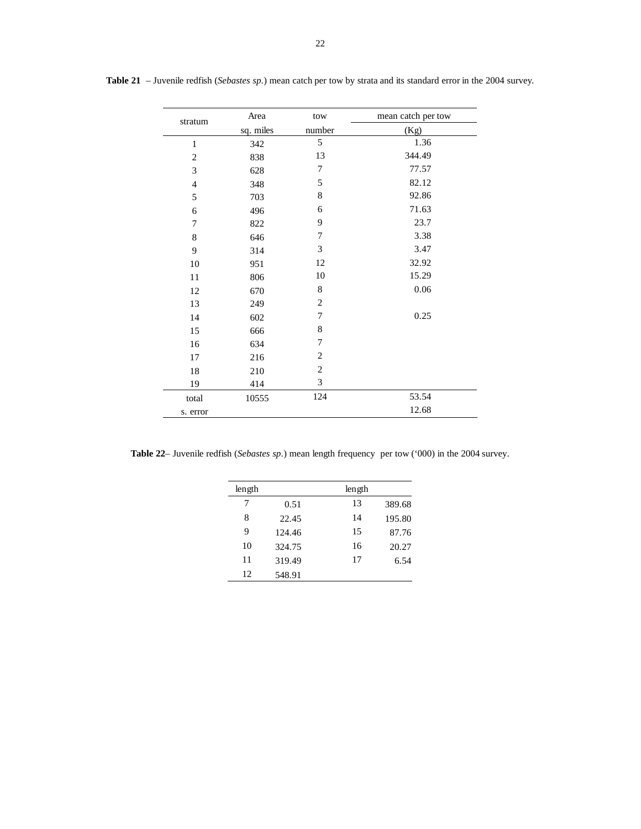| stratum        | Area      | tow            | mean catch per tow |
|----------------|-----------|----------------|--------------------|
|                | sq. miles | number         | (Kg)               |
| $\mathbf{1}$   | 342       | 5              | 1.36               |
| $\mathbf{2}$   | 838       | 13             | 344.49             |
| 3              | 628       | 7              | 77.57              |
| $\overline{4}$ | 348       | 5              | 82.12              |
| 5              | 703       | 8              | 92.86              |
| 6              | 496       | 6              | 71.63              |
| 7              | 822       | 9              | 23.7               |
| $\,$ 8 $\,$    | 646       | 7              | 3.38               |
| 9              | 314       | 3              | 3.47               |
| $10\,$         | 951       | 12             | 32.92              |
| 11             | 806       | 10             | 15.29              |
| 12             | 670       | 8              | 0.06               |
| 13             | 249       | $\overline{2}$ |                    |
| 14             | 602       | 7              | 0.25               |
| 15             | 666       | 8              |                    |
| 16             | 634       | 7              |                    |
| 17             | 216       | $\overline{2}$ |                    |
| 18             | 210       | $\overline{2}$ |                    |
| 19             | 414       | 3              |                    |
| total          | 10555     | 124            | 53.54              |
| s. error       |           |                | 12.68              |

**Table 21** – Juvenile redfish (*Sebastes sp*.) mean catch per tow by strata and its standard error in the 2004 survey.

**Table 22**– Juvenile redfish (*Sebastes sp*.) mean length frequency per tow ('000) in the 2004 survey.

| length |        | length |        |
|--------|--------|--------|--------|
| 7      | 0.51   | 13     | 389.68 |
| 8      | 22.45  | 14     | 195.80 |
| 9      | 124.46 | 15     | 87.76  |
| 10     | 324.75 | 16     | 20.27  |
| 11     | 319.49 | 17     | 6.54   |
| 12     | 548.91 |        |        |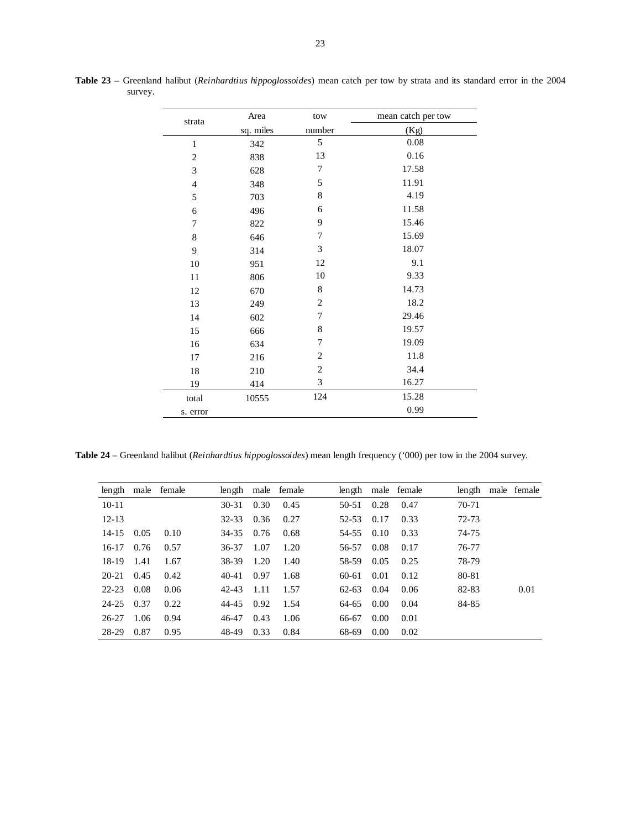| strata         | Area      | tow            | mean catch per tow |
|----------------|-----------|----------------|--------------------|
|                | sq. miles | number         | (Kg)               |
| $\mathbf{1}$   | 342       | 5              | 0.08               |
| $\overline{c}$ | 838       | 13             | 0.16               |
| 3              | 628       | 7              | 17.58              |
| $\overline{4}$ | 348       | 5              | 11.91              |
| 5              | 703       | $\,$ 8 $\,$    | 4.19               |
| 6              | 496       | 6              | 11.58              |
| $\overline{7}$ | 822       | 9              | 15.46              |
| $\,8\,$        | 646       | 7              | 15.69              |
| 9              | 314       | 3              | 18.07              |
| $10\,$         | 951       | 12             | 9.1                |
| 11             | 806       | 10             | 9.33               |
| 12             | 670       | 8              | 14.73              |
| 13             | 249       | $\overline{2}$ | 18.2               |
| 14             | 602       | 7              | 29.46              |
| 15             | 666       | $\,$ 8 $\,$    | 19.57              |
| 16             | 634       | 7              | 19.09              |
| 17             | 216       | $\overline{2}$ | 11.8               |
| 18             | 210       | $\overline{2}$ | 34.4               |
| 19             | 414       | 3              | 16.27              |
| total          | 10555     | 124            | 15.28              |
| s. error       |           |                | 0.99               |

**Table 23** – Greenland halibut (*Reinhardtius hippoglossoides*) mean catch per tow by strata and its standard error in the 2004 survey.

**Table 24** – Greenland halibut (*Reinhardtius hippoglossoides*) mean length frequency ('000) per tow in the 2004 survey.

| length    |      | male female | length    |      | male female | length    |      | male female | length | male female |
|-----------|------|-------------|-----------|------|-------------|-----------|------|-------------|--------|-------------|
| $10 - 11$ |      |             | $30 - 31$ | 0.30 | 0.45        | 50-51     | 0.28 | 0.47        | 70-71  |             |
| $12 - 13$ |      |             | $32 - 33$ | 0.36 | 0.27        | 52-53     | 0.17 | 0.33        | 72-73  |             |
| $14 - 15$ | 0.05 | 0.10        | 34-35     | 0.76 | 0.68        | 54-55     | 0.10 | 0.33        | 74-75  |             |
| $16-17$   | 0.76 | 0.57        | 36-37     | 1.07 | 1.20        | 56-57     | 0.08 | 0.17        | 76-77  |             |
| 18-19     | 1.41 | 1.67        | 38-39     | 1.20 | 1.40        | 58-59     | 0.05 | 0.25        | 78-79  |             |
| 20-21     | 0.45 | 0.42        | $40 - 41$ | 0.97 | 1.68        | 60-61     | 0.01 | 0.12        | 80-81  |             |
| $22 - 23$ | 0.08 | 0.06        | 42-43     | 1.11 | 1.57        | $62 - 63$ | 0.04 | 0.06        | 82-83  | 0.01        |
| 24-25     | 0.37 | 0.22        | 44-45     | 0.92 | 1.54        | 64-65     | 0.00 | 0.04        | 84-85  |             |
| 26-27     | 1.06 | 0.94        | 46-47     | 0.43 | 1.06        | 66-67     | 0.00 | 0.01        |        |             |
| 28-29     | 0.87 | 0.95        | 48-49     | 0.33 | 0.84        | 68-69     | 0.00 | 0.02        |        |             |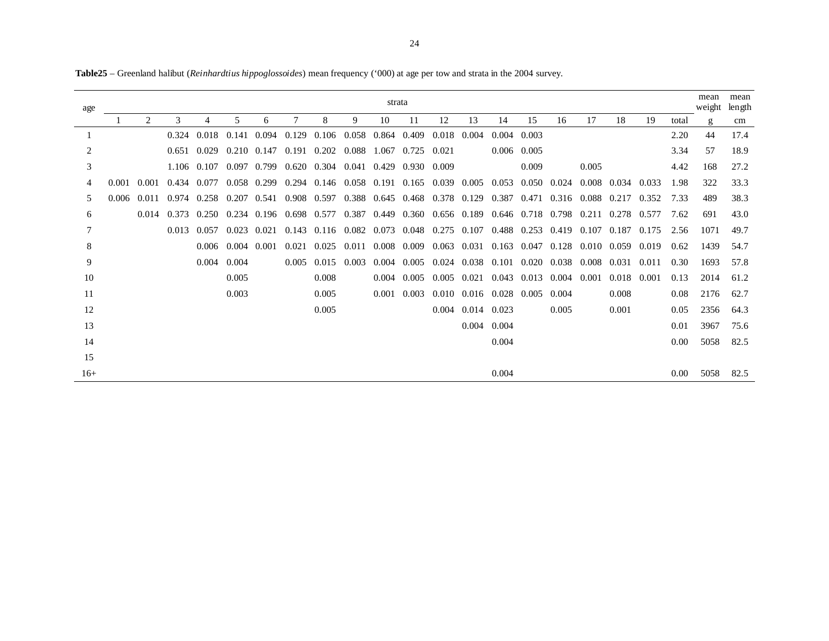| age   |       |                |       |               |       |                     |                         |                                 |                   | strata      |                               |                 |               |                                 |               |             |             |       |       |       | mean<br>weight | mean<br>length |
|-------|-------|----------------|-------|---------------|-------|---------------------|-------------------------|---------------------------------|-------------------|-------------|-------------------------------|-----------------|---------------|---------------------------------|---------------|-------------|-------------|-------|-------|-------|----------------|----------------|
|       |       | $\mathfrak{D}$ | 3     | 4             | 5     | 6                   | 7                       | 8                               | 9                 | 10          | 11                            | 12              | 13            | 14                              | 15            | 16          | 17          | 18    | 19    | total | g              | cm             |
|       |       |                | 0.324 | 0.018         | 0.141 | 0.094               | 0.129                   |                                 | 0.106 0.058 0.864 |             | 0.409                         | 0.018           | 0.004         | $0.004$ 0.003                   |               |             |             |       |       | 2.20  | 44             | 17.4           |
| 2     |       |                | 0.651 | 0.029         |       | $0.210 \quad 0.147$ |                         | $0.191$ $0.202$                 | 0.088             |             | 1.067 0.725 0.021             |                 |               | $0.006$ 0.005                   |               |             |             |       |       | 3.34  | 57             | 18.9           |
| 3     |       |                |       | 1.106 0.107   |       | 0.097 0.799         | 0.620                   | 0.304                           | 0.041             | 0.429       | 0.930 0.009                   |                 |               |                                 | 0.009         |             | 0.005       |       |       | 4.42  | 168            | 27.2           |
| 4     | 0.001 | 0.001          | 0.434 | 0.077         |       | 0.058 0.299         | 0.294                   | 0.146 0.058 0.191 0.165         |                   |             |                               | 0.039 0.005     |               |                                 | 0.053 0.050   | 0.024       | 0.008 0.034 |       | 0.033 | 1.98  | 322            | 33.3           |
| 5     | 0.006 | 0.011          | 0.974 | 0.258 0.207   |       |                     | 0.541 0.908 0.597       |                                 | 0.388 0.645 0.468 |             |                               | 0.378 0.129     |               |                                 | 0.387 0.471   |             | 0.316 0.088 | 0.217 | 0.352 | 7.33  | 489            | 38.3           |
| 6     |       | 0.014          | 0.373 | 0.250         |       |                     | 0.234 0.196 0.698 0.577 |                                 |                   |             | 0.387 0.449 0.360 0.656 0.189 |                 |               | 0.646 0.718 0.798               |               |             | 0.211       | 0.278 | 0.577 | 7.62  | 691            | 43.0           |
| 7     |       |                | 0.013 | 0.057         | 0.023 | 0.021               | 0.143                   | $0.116$ $0.082$ $0.073$ $0.048$ |                   |             |                               |                 | $0.275$ 0.107 | 0.488 0.253                     |               | 0.419       | 0.107       | 0.187 | 0.175 | 2.56  | 1071           | 49.7           |
| 8     |       |                |       | 0.006         | 0.004 | 0.001               | 0.021                   | 0.025                           | 0.011             | 0.008 0.009 |                               | 0.063 0.031     |               | $0.163$ 0.047                   |               | 0.128       | 0.010 0.059 |       | 0.019 | 0.62  | 1439           | 54.7           |
| 9     |       |                |       | $0.004$ 0.004 |       |                     | 0.005                   | $0.015$ 0.003                   |                   | 0.004       | 0.005                         |                 | 0.024 0.038   | 0.101 0.020                     |               |             | 0.038 0.008 | 0.031 | 0.011 | 0.30  | 1693           | 57.8           |
| 10    |       |                |       |               | 0.005 |                     |                         | 0.008                           |                   | 0.004       | 0.005                         | $0.005$ $0.021$ |               |                                 | $0.043$ 0.013 | 0.004 0.001 |             | 0.018 | 0.001 | 0.13  | 2014           | 61.2           |
| 11    |       |                |       |               | 0.003 |                     |                         | 0.005                           |                   |             | $0.001$ 0.003                 |                 |               | $0.010$ $0.016$ $0.028$ $0.005$ |               | 0.004       |             | 0.008 |       | 0.08  | 2176           | 62.7           |
| 12    |       |                |       |               |       |                     |                         | 0.005                           |                   |             |                               |                 | 0.004 0.014   | 0.023                           |               | 0.005       |             | 0.001 |       | 0.05  | 2356           | 64.3           |
| 13    |       |                |       |               |       |                     |                         |                                 |                   |             |                               |                 |               | 0.004 0.004                     |               |             |             |       |       | 0.01  | 3967           | 75.6           |
| 14    |       |                |       |               |       |                     |                         |                                 |                   |             |                               |                 |               | 0.004                           |               |             |             |       |       | 0.00  | 5058           | 82.5           |
| 15    |       |                |       |               |       |                     |                         |                                 |                   |             |                               |                 |               |                                 |               |             |             |       |       |       |                |                |
| $16+$ |       |                |       |               |       |                     |                         |                                 |                   |             |                               |                 |               | 0.004                           |               |             |             |       |       | 0.00  | 5058           | 82.5           |

**Table25** – Greenland halibut (*Reinhardtius hippoglossoides*) mean frequency ('000) at age per tow and strata in the 2004 survey.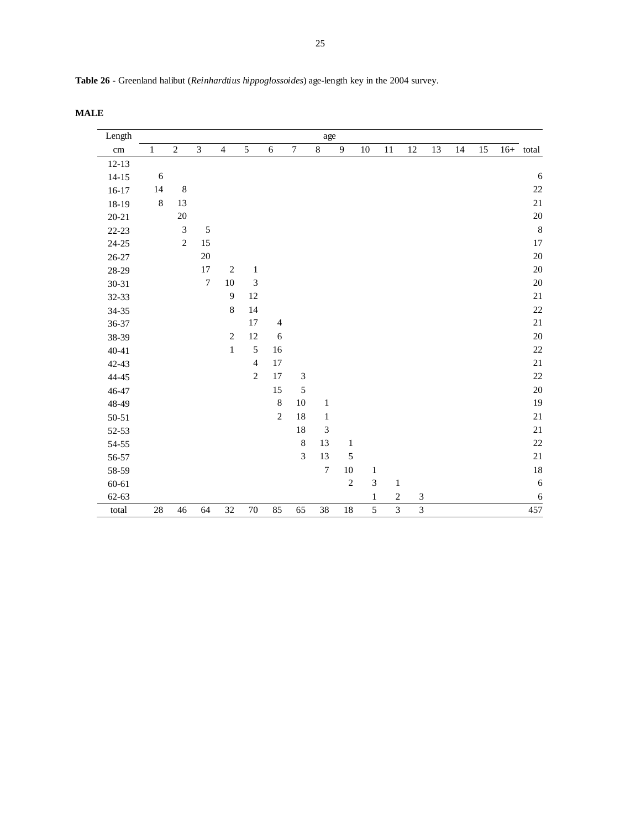| Table 26 - Greenland halibut (Reinhardtius hippoglossoides) age-length key in the 2004 survey. |  |  |  |
|------------------------------------------------------------------------------------------------|--|--|--|
|------------------------------------------------------------------------------------------------|--|--|--|

**MALE** 

| Length     |              |                             |                  |                  |                             |                |                             | age              |                |                         |                |                |    |    |    |             |
|------------|--------------|-----------------------------|------------------|------------------|-----------------------------|----------------|-----------------------------|------------------|----------------|-------------------------|----------------|----------------|----|----|----|-------------|
| $\,\rm cm$ | $\mathbf{1}$ | $\sqrt{2}$                  | $\overline{3}$   | $\overline{4}$   | $\overline{5}$              | 6              | $\boldsymbol{7}$            | $\overline{8}$   | $\overline{9}$ | $10\,$                  | $11\,$         | 12             | 13 | 14 | 15 | $16+$ total |
| $12-13$    |              |                             |                  |                  |                             |                |                             |                  |                |                         |                |                |    |    |    |             |
| $14 - 15$  | $\sqrt{6}$   |                             |                  |                  |                             |                |                             |                  |                |                         |                |                |    |    |    | 6           |
| $16-17$    | 14           | $\,8\,$                     |                  |                  |                             |                |                             |                  |                |                         |                |                |    |    |    | $22\,$      |
| 18-19      | $\,8\,$      | 13                          |                  |                  |                             |                |                             |                  |                |                         |                |                |    |    |    | 21          |
| $20 - 21$  |              | $20\,$                      |                  |                  |                             |                |                             |                  |                |                         |                |                |    |    |    | $20\,$      |
| $22 - 23$  |              | $\ensuremath{\mathfrak{Z}}$ | $\sqrt{5}$       |                  |                             |                |                             |                  |                |                         |                |                |    |    |    | $\,8\,$     |
| $24 - 25$  |              | $\sqrt{2}$                  | 15               |                  |                             |                |                             |                  |                |                         |                |                |    |    |    | 17          |
| $26 - 27$  |              |                             | $20\,$           |                  |                             |                |                             |                  |                |                         |                |                |    |    |    | 20          |
| 28-29      |              |                             | $17\,$           | $\sqrt{2}$       | $\mathbf{1}$                |                |                             |                  |                |                         |                |                |    |    |    | $20\,$      |
| $30 - 31$  |              |                             | $\boldsymbol{7}$ | $10\,$           | $\ensuremath{\mathfrak{Z}}$ |                |                             |                  |                |                         |                |                |    |    |    | $20\,$      |
| 32-33      |              |                             |                  | $\boldsymbol{9}$ | 12                          |                |                             |                  |                |                         |                |                |    |    |    | $21\,$      |
| 34-35      |              |                             |                  | $\,8\,$          | 14                          |                |                             |                  |                |                         |                |                |    |    |    | $22\,$      |
| 36-37      |              |                             |                  |                  | 17                          | $\overline{4}$ |                             |                  |                |                         |                |                |    |    |    | $21\,$      |
| 38-39      |              |                             |                  | $\sqrt{2}$       | 12                          | $\sqrt{6}$     |                             |                  |                |                         |                |                |    |    |    | $20\,$      |
| $40 - 41$  |              |                             |                  | $\,1$            | 5                           | 16             |                             |                  |                |                         |                |                |    |    |    | $22\,$      |
| 42-43      |              |                             |                  |                  | $\overline{4}$              | 17             |                             |                  |                |                         |                |                |    |    |    | $21\,$      |
| 44-45      |              |                             |                  |                  | $\sqrt{2}$                  | 17             | $\ensuremath{\mathfrak{Z}}$ |                  |                |                         |                |                |    |    |    | $22\,$      |
| 46-47      |              |                             |                  |                  |                             | $15\,$         | $\sqrt{5}$                  |                  |                |                         |                |                |    |    |    | 20          |
| 48-49      |              |                             |                  |                  |                             | $\,$ 8 $\,$    | 10                          | $\,1$            |                |                         |                |                |    |    |    | 19          |
| $50 - 51$  |              |                             |                  |                  |                             | $\sqrt{2}$     | $18\,$                      | $\mathbf{1}$     |                |                         |                |                |    |    |    | $21\,$      |
| 52-53      |              |                             |                  |                  |                             |                | 18                          | 3                |                |                         |                |                |    |    |    | $21\,$      |
| 54-55      |              |                             |                  |                  |                             |                | $\,$ 8 $\,$                 | 13               | $\,1$          |                         |                |                |    |    |    | $22\,$      |
| 56-57      |              |                             |                  |                  |                             |                | 3                           | 13               | 5              |                         |                |                |    |    |    | 21          |
| 58-59      |              |                             |                  |                  |                             |                |                             | $\boldsymbol{7}$ | $10\,$         | $\,1$                   |                |                |    |    |    | 18          |
| $60 - 61$  |              |                             |                  |                  |                             |                |                             |                  | $\sqrt{2}$     | $\overline{\mathbf{3}}$ | $\,1$          |                |    |    |    | 6           |
| 62-63      |              |                             |                  |                  |                             |                |                             |                  |                | $\mathbf{1}$            | $\sqrt{2}$     | 3              |    |    |    | $\sqrt{6}$  |
| total      | $28\,$       | 46                          | 64               | 32               | 70                          | 85             | 65                          | 38               | 18             | $\overline{5}$          | $\overline{3}$ | $\overline{3}$ |    |    |    | 457         |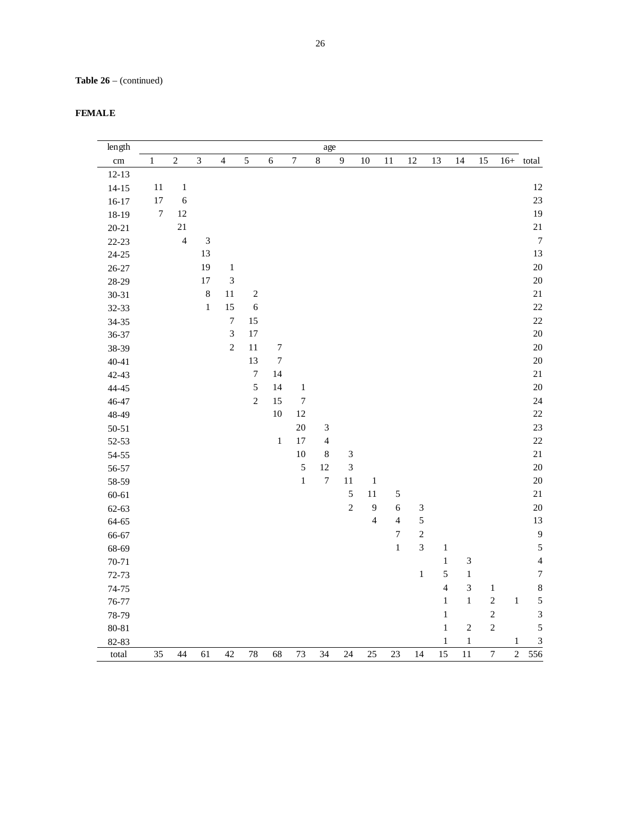| <b>FEMALE</b> |
|---------------|
|---------------|

| length    |                  |                |                |                |                         |                  |                  | age                         |                |                         |                |                |                |            |                         |            |                         |
|-----------|------------------|----------------|----------------|----------------|-------------------------|------------------|------------------|-----------------------------|----------------|-------------------------|----------------|----------------|----------------|------------|-------------------------|------------|-------------------------|
| $\rm cm$  | $\mathbf{1}$     | $\overline{c}$ | $\overline{3}$ | $\overline{4}$ | 5                       | $\sqrt{6}$       | $\overline{7}$   | $\,8\,$                     | $\overline{9}$ | 10                      | 11             | 12             | 13             | 14         | 15                      | $16+$      | total                   |
| $12 - 13$ |                  |                |                |                |                         |                  |                  |                             |                |                         |                |                |                |            |                         |            |                         |
| $14 - 15$ | 11               | $\,1\,$        |                |                |                         |                  |                  |                             |                |                         |                |                |                |            |                         |            | 12                      |
| $16 - 17$ | 17               | $\sqrt{6}$     |                |                |                         |                  |                  |                             |                |                         |                |                |                |            |                         |            | 23                      |
| 18-19     | $\boldsymbol{7}$ | 12             |                |                |                         |                  |                  |                             |                |                         |                |                |                |            |                         |            | 19                      |
| $20 - 21$ |                  | $21\,$         |                |                |                         |                  |                  |                             |                |                         |                |                |                |            |                         |            | $21\,$                  |
| $22 - 23$ |                  | $\overline{4}$ | $\mathfrak 3$  |                |                         |                  |                  |                             |                |                         |                |                |                |            |                         |            | $\boldsymbol{7}$        |
| $24 - 25$ |                  |                | 13             |                |                         |                  |                  |                             |                |                         |                |                |                |            |                         |            | 13                      |
| $26 - 27$ |                  |                | 19             | $\,1\,$        |                         |                  |                  |                             |                |                         |                |                |                |            |                         |            | 20                      |
| 28-29     |                  |                | $17\,$         | $\mathfrak{Z}$ |                         |                  |                  |                             |                |                         |                |                |                |            |                         |            | 20                      |
| $30 - 31$ |                  |                | $\,$ 8 $\,$    | 11             | $\overline{\mathbf{c}}$ |                  |                  |                             |                |                         |                |                |                |            |                         |            | $21\,$                  |
| 32-33     |                  |                | $\,1\,$        | 15             | $\overline{6}$          |                  |                  |                             |                |                         |                |                |                |            |                         |            | 22                      |
| 34-35     |                  |                |                | $\overline{7}$ | 15                      |                  |                  |                             |                |                         |                |                |                |            |                         |            | 22                      |
| 36-37     |                  |                |                | $\overline{3}$ | 17                      |                  |                  |                             |                |                         |                |                |                |            |                         |            | 20                      |
| 38-39     |                  |                |                | $\sqrt{2}$     | 11                      | $\boldsymbol{7}$ |                  |                             |                |                         |                |                |                |            |                         |            | 20                      |
| $40 - 41$ |                  |                |                |                | 13                      | $\boldsymbol{7}$ |                  |                             |                |                         |                |                |                |            |                         |            | 20                      |
| 42-43     |                  |                |                |                | $\boldsymbol{7}$        | 14               |                  |                             |                |                         |                |                |                |            |                         |            | $21\,$                  |
| 44-45     |                  |                |                |                | 5                       | 14               | $\,1\,$          |                             |                |                         |                |                |                |            |                         |            | 20                      |
| 46-47     |                  |                |                |                | $\sqrt{2}$              | 15               | $\boldsymbol{7}$ |                             |                |                         |                |                |                |            |                         |            | 24                      |
| 48-49     |                  |                |                |                |                         | 10               | 12               |                             |                |                         |                |                |                |            |                         |            | 22                      |
| $50 - 51$ |                  |                |                |                |                         |                  | 20               | $\ensuremath{\mathfrak{Z}}$ |                |                         |                |                |                |            |                         |            | 23                      |
| $52 - 53$ |                  |                |                |                |                         | $\,1$            | 17               | $\overline{4}$              |                |                         |                |                |                |            |                         |            | 22                      |
| 54-55     |                  |                |                |                |                         |                  | 10               | $\,8\,$                     | $\sqrt{3}$     |                         |                |                |                |            |                         |            | $21\,$                  |
| 56-57     |                  |                |                |                |                         |                  | 5                | 12                          | $\overline{3}$ |                         |                |                |                |            |                         |            | 20                      |
| 58-59     |                  |                |                |                |                         |                  | $\,1$            | $\overline{7}$              | 11             | $\,1$                   |                |                |                |            |                         |            | 20                      |
| 60-61     |                  |                |                |                |                         |                  |                  |                             | 5              | 11                      | $\sqrt{5}$     |                |                |            |                         |            | $21\,$                  |
| 62-63     |                  |                |                |                |                         |                  |                  |                             | $\overline{c}$ | $\overline{9}$          | $\sqrt{6}$     | $\mathfrak{Z}$ |                |            |                         |            | 20                      |
| 64-65     |                  |                |                |                |                         |                  |                  |                             |                | $\overline{\mathbf{4}}$ | $\overline{4}$ | 5              |                |            |                         |            | 13                      |
| 66-67     |                  |                |                |                |                         |                  |                  |                             |                |                         | $\sqrt{ }$     | $\overline{c}$ |                |            |                         |            | $\overline{9}$          |
| 68-69     |                  |                |                |                |                         |                  |                  |                             |                |                         | $\mathbf{1}$   | $\overline{3}$ | $\mathbf{1}$   |            |                         |            | $\sqrt{5}$              |
| $70 - 71$ |                  |                |                |                |                         |                  |                  |                             |                |                         |                |                | $\,1$          | $\sqrt{3}$ |                         |            | $\overline{4}$          |
| $72 - 73$ |                  |                |                |                |                         |                  |                  |                             |                |                         |                | $\mathbf{1}$   | 5              | $\,1$      |                         |            | $\sqrt{ }$              |
| $74 - 75$ |                  |                |                |                |                         |                  |                  |                             |                |                         |                |                | $\overline{4}$ | $\sqrt{3}$ | $\,1\,$                 |            | $\boldsymbol{8}$        |
| 76-77     |                  |                |                |                |                         |                  |                  |                             |                |                         |                |                | $\,1$          | $\,1$      | $\overline{c}$          | $\,1\,$    | 5                       |
| 78-79     |                  |                |                |                |                         |                  |                  |                             |                |                         |                |                | $\,1$          |            | $\overline{\mathbf{c}}$ |            | $\mathfrak{Z}$          |
| 80-81     |                  |                |                |                |                         |                  |                  |                             |                |                         |                |                | $\,1$          | $\sqrt{2}$ | $\overline{c}$          |            | 5                       |
| 82-83     |                  |                |                |                |                         |                  |                  |                             |                |                         |                |                | $\mathbf{1}$   | $\,1\,$    |                         | $\,1$      | $\overline{\mathbf{3}}$ |
| total     | 35               | 44             | 61             | 42             | 78                      | 68               | 73               | 34                          | 24             | 25                      | 23             | 14             | 15             | 11         | $\boldsymbol{7}$        | $\sqrt{2}$ | 556                     |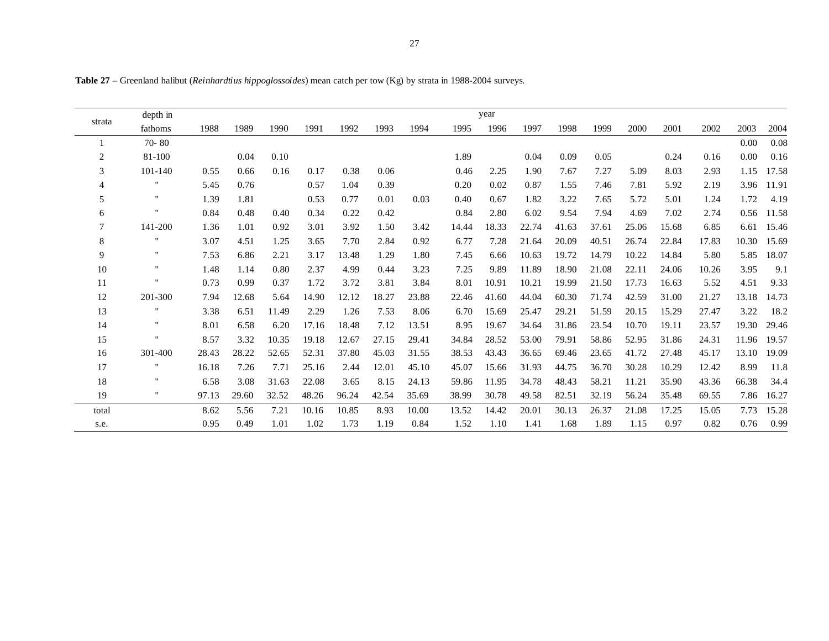**Table 27** – Greenland halibut (*Reinhardtius hippoglossoides*) mean catch per tow (Kg) by strata in 1988-2004 surveys.

|                 | depth in           |       |       |       |       |       |       |       |       | year  |       |       |       |       |       |       |       |       |
|-----------------|--------------------|-------|-------|-------|-------|-------|-------|-------|-------|-------|-------|-------|-------|-------|-------|-------|-------|-------|
| strata          | fathoms            | 1988  | 1989  | 1990  | 1991  | 1992  | 1993  | 1994  | 1995  | 1996  | 1997  | 1998  | 1999  | 2000  | 2001  | 2002  | 2003  | 2004  |
|                 | $70 - 80$          |       |       |       |       |       |       |       |       |       |       |       |       |       |       |       | 0.00  | 0.08  |
| $\overline{2}$  | 81-100             |       | 0.04  | 0.10  |       |       |       |       | 1.89  |       | 0.04  | 0.09  | 0.05  |       | 0.24  | 0.16  | 0.00  | 0.16  |
| 3               | 101-140            | 0.55  | 0.66  | 0.16  | 0.17  | 0.38  | 0.06  |       | 0.46  | 2.25  | 1.90  | 7.67  | 7.27  | 5.09  | 8.03  | 2.93  | 1.15  | 17.58 |
| $\overline{4}$  |                    | 5.45  | 0.76  |       | 0.57  | 1.04  | 0.39  |       | 0.20  | 0.02  | 0.87  | 1.55  | 7.46  | 7.81  | 5.92  | 2.19  | 3.96  | 11.91 |
| 5               | "                  | 1.39  | 1.81  |       | 0.53  | 0.77  | 0.01  | 0.03  | 0.40  | 0.67  | 1.82  | 3.22  | 7.65  | 5.72  | 5.01  | 1.24  | 1.72  | 4.19  |
| 6               | $\pmb{\mathsf{H}}$ | 0.84  | 0.48  | 0.40  | 0.34  | 0.22  | 0.42  |       | 0.84  | 2.80  | 6.02  | 9.54  | 7.94  | 4.69  | 7.02  | 2.74  | 0.56  | 11.58 |
| $7\phantom{.0}$ | 141-200            | 1.36  | 1.01  | 0.92  | 3.01  | 3.92  | 1.50  | 3.42  | 14.44 | 18.33 | 22.74 | 41.63 | 37.61 | 25.06 | 15.68 | 6.85  | 6.61  | 15.46 |
| 8               | 11                 | 3.07  | 4.51  | 1.25  | 3.65  | 7.70  | 2.84  | 0.92  | 6.77  | 7.28  | 21.64 | 20.09 | 40.51 | 26.74 | 22.84 | 17.83 | 10.30 | 15.69 |
| 9               | $\pmb{\mathsf{H}}$ | 7.53  | 6.86  | 2.21  | 3.17  | 13.48 | 1.29  | 1.80  | 7.45  | 6.66  | 10.63 | 19.72 | 14.79 | 10.22 | 14.84 | 5.80  | 5.85  | 18.07 |
| 10              | 11                 | 1.48  | 1.14  | 0.80  | 2.37  | 4.99  | 0.44  | 3.23  | 7.25  | 9.89  | 11.89 | 18.90 | 21.08 | 22.11 | 24.06 | 10.26 | 3.95  | 9.1   |
| 11              | $\pmb{\mathsf{H}}$ | 0.73  | 0.99  | 0.37  | 1.72  | 3.72  | 3.81  | 3.84  | 8.01  | 10.91 | 10.21 | 19.99 | 21.50 | 17.73 | 16.63 | 5.52  | 4.51  | 9.33  |
| 12              | 201-300            | 7.94  | 12.68 | 5.64  | 14.90 | 12.12 | 18.27 | 23.88 | 22.46 | 41.60 | 44.04 | 60.30 | 71.74 | 42.59 | 31.00 | 21.27 | 13.18 | 14.73 |
| 13              | 11                 | 3.38  | 6.51  | 11.49 | 2.29  | 1.26  | 7.53  | 8.06  | 6.70  | 15.69 | 25.47 | 29.21 | 51.59 | 20.15 | 15.29 | 27.47 | 3.22  | 18.2  |
| 14              |                    | 8.01  | 6.58  | 6.20  | 17.16 | 18.48 | 7.12  | 13.51 | 8.95  | 19.67 | 34.64 | 31.86 | 23.54 | 10.70 | 19.11 | 23.57 | 19.30 | 29.46 |
| 15              | $\blacksquare$     | 8.57  | 3.32  | 10.35 | 19.18 | 12.67 | 27.15 | 29.41 | 34.84 | 28.52 | 53.00 | 79.91 | 58.86 | 52.95 | 31.86 | 24.31 | 11.96 | 19.57 |
| 16              | 301-400            | 28.43 | 28.22 | 52.65 | 52.31 | 37.80 | 45.03 | 31.55 | 38.53 | 43.43 | 36.65 | 69.46 | 23.65 | 41.72 | 27.48 | 45.17 | 13.10 | 19.09 |
| 17              |                    | 16.18 | 7.26  | 7.71  | 25.16 | 2.44  | 12.01 | 45.10 | 45.07 | 15.66 | 31.93 | 44.75 | 36.70 | 30.28 | 10.29 | 12.42 | 8.99  | 11.8  |
| 18              |                    | 6.58  | 3.08  | 31.63 | 22.08 | 3.65  | 8.15  | 24.13 | 59.86 | 11.95 | 34.78 | 48.43 | 58.21 | 11.21 | 35.90 | 43.36 | 66.38 | 34.4  |
| 19              | "                  | 97.13 | 29.60 | 32.52 | 48.26 | 96.24 | 42.54 | 35.69 | 38.99 | 30.78 | 49.58 | 82.51 | 32.19 | 56.24 | 35.48 | 69.55 | 7.86  | 16.27 |
| total           |                    | 8.62  | 5.56  | 7.21  | 10.16 | 10.85 | 8.93  | 10.00 | 13.52 | 14.42 | 20.01 | 30.13 | 26.37 | 21.08 | 17.25 | 15.05 | 7.73  | 15.28 |
| s.e.            |                    | 0.95  | 0.49  | 1.01  | 1.02  | 1.73  | 1.19  | 0.84  | 1.52  | 1.10  | 1.41  | 1.68  | 1.89  | 1.15  | 0.97  | 0.82  | 0.76  | 0.99  |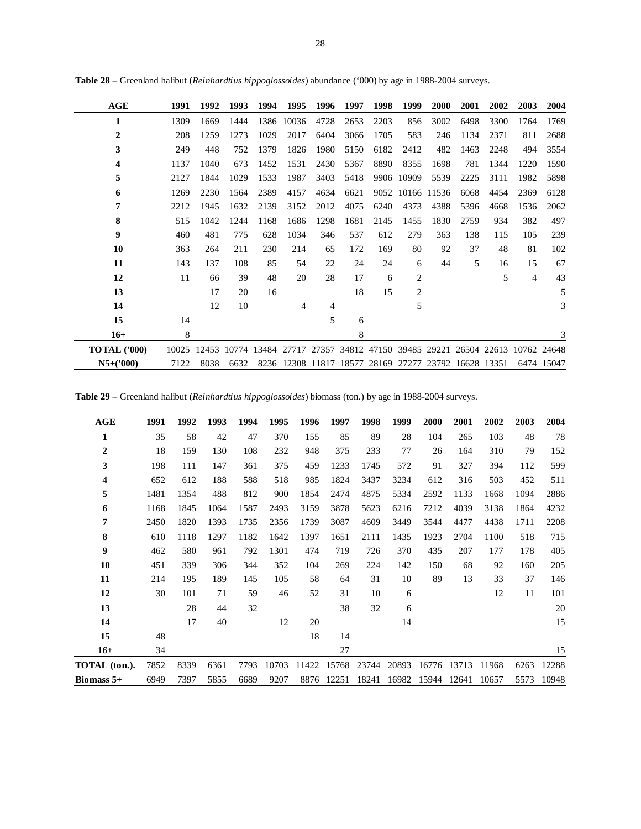| AGE                 | 1991  | 1992  | 1993  | 1994  | 1995           | 1996  | 1997  | 1998  | 1999             | 2000                    | 2001              | 2002        | 2003           | 2004       |
|---------------------|-------|-------|-------|-------|----------------|-------|-------|-------|------------------|-------------------------|-------------------|-------------|----------------|------------|
| 1                   | 1309  | 1669  | 1444  | 1386  | 10036          | 4728  | 2653  | 2203  | 856              | 3002                    | 6498              | 3300        | 1764           | 1769       |
| $\overline{2}$      | 208   | 1259  | 1273  | 1029  | 2017           | 6404  | 3066  | 1705  | 583              | 246                     | 1134              | 2371        | 811            | 2688       |
| 3                   | 249   | 448   | 752   | 1379  | 1826           | 1980  | 5150  | 6182  | 2412             | 482                     | 1463              | 2248        | 494            | 3554       |
| 4                   | 1137  | 1040  | 673   | 1452  | 1531           | 2430  | 5367  | 8890  | 8355             | 1698                    | 781               | 1344        | 1220           | 1590       |
| 5                   | 2127  | 1844  | 1029  | 1533  | 1987           | 3403  | 5418  |       | 9906 10909       | 5539                    | 2225              | 3111        | 1982           | 5898       |
| 6                   | 1269  | 2230  | 1564  | 2389  | 4157           | 4634  | 6621  |       | 9052 10166 11536 |                         | 6068              | 4454        | 2369           | 6128       |
| 7                   | 2212  | 1945  | 1632  | 2139  | 3152           | 2012  | 4075  | 6240  | 4373             | 4388                    | 5396              | 4668        | 1536           | 2062       |
| 8                   | 515   | 1042  | 1244  | 1168  | 1686           | 1298  | 1681  | 2145  | 1455             | 1830                    | 2759              | 934         | 382            | 497        |
| 9                   | 460   | 481   | 775   | 628   | 1034           | 346   | 537   | 612   | 279              | 363                     | 138               | 115         | 105            | 239        |
| 10                  | 363   | 264   | 211   | 230   | 214            | 65    | 172   | 169   | 80               | 92                      | 37                | 48          | 81             | 102        |
| 11                  | 143   | 137   | 108   | 85    | 54             | 22    | 24    | 24    | 6                | 44                      | 5                 | 16          | 15             | 67         |
| 12                  | 11    | 66    | 39    | 48    | 20             | 28    | 17    | 6     | $\overline{c}$   |                         |                   | 5           | $\overline{4}$ | 43         |
| 13                  |       | 17    | 20    | 16    |                |       | 18    | 15    | $\overline{2}$   |                         |                   |             |                | 5          |
| 14                  |       | 12    | 10    |       | $\overline{4}$ | 4     |       |       | 5                |                         |                   |             |                | 3          |
| 15                  | 14    |       |       |       |                | 5     | 6     |       |                  |                         |                   |             |                |            |
| $16+$               | 8     |       |       |       |                |       | 8     |       |                  |                         |                   |             |                | 3          |
| <b>TOTAL ('000)</b> | 10025 | 12453 | 10774 | 13484 | 27717          | 27357 |       |       |                  | 34812 47150 39485 29221 |                   | 26504 22613 | 10762 24648    |            |
| $N5+(000)$          | 7122  | 8038  | 6632  |       | 8236 12308     | 11817 | 18577 | 28169 | 27277            |                         | 23792 16628 13351 |             |                | 6474 15047 |

**Table 28** – Greenland halibut (*Reinhardtius hippoglossoides*) abundance ('000) by age in 1988-2004 surveys.

**Table 29** – Greenland halibut (*Reinhardtius hippoglossoides*) biomass (ton.) by age in 1988-2004 surveys.

| AGE              | 1991 | 1992 | 1993 | 1994 | 1995  | 1996  | 1997  | 1998  | 1999  | 2000  | 2001  | 2002  | 2003 | 2004  |
|------------------|------|------|------|------|-------|-------|-------|-------|-------|-------|-------|-------|------|-------|
| 1                | 35   | 58   | 42   | 47   | 370   | 155   | 85    | 89    | 28    | 104   | 265   | 103   | 48   | 78    |
| $\boldsymbol{2}$ | 18   | 159  | 130  | 108  | 232   | 948   | 375   | 233   | 77    | 26    | 164   | 310   | 79   | 152   |
| 3                | 198  | 111  | 147  | 361  | 375   | 459   | 1233  | 1745  | 572   | 91    | 327   | 394   | 112  | 599   |
| 4                | 652  | 612  | 188  | 588  | 518   | 985   | 1824  | 3437  | 3234  | 612   | 316   | 503   | 452  | 511   |
| 5                | 1481 | 1354 | 488  | 812  | 900   | 1854  | 2474  | 4875  | 5334  | 2592  | 1133  | 1668  | 1094 | 2886  |
| 6                | 1168 | 1845 | 1064 | 1587 | 2493  | 3159  | 3878  | 5623  | 6216  | 7212  | 4039  | 3138  | 1864 | 4232  |
| 7                | 2450 | 1820 | 1393 | 1735 | 2356  | 1739  | 3087  | 4609  | 3449  | 3544  | 4477  | 4438  | 1711 | 2208  |
| 8                | 610  | 1118 | 1297 | 1182 | 1642  | 1397  | 1651  | 2111  | 1435  | 1923  | 2704  | 1100  | 518  | 715   |
| $\boldsymbol{9}$ | 462  | 580  | 961  | 792  | 1301  | 474   | 719   | 726   | 370   | 435   | 207   | 177   | 178  | 405   |
| 10               | 451  | 339  | 306  | 344  | 352   | 104   | 269   | 224   | 142   | 150   | 68    | 92    | 160  | 205   |
| 11               | 214  | 195  | 189  | 145  | 105   | 58    | 64    | 31    | 10    | 89    | 13    | 33    | 37   | 146   |
| 12               | 30   | 101  | 71   | 59   | 46    | 52    | 31    | 10    | 6     |       |       | 12    | 11   | 101   |
| 13               |      | 28   | 44   | 32   |       |       | 38    | 32    | 6     |       |       |       |      | 20    |
| 14               |      | 17   | 40   |      | 12    | 20    |       |       | 14    |       |       |       |      | 15    |
| 15               | 48   |      |      |      |       | 18    | 14    |       |       |       |       |       |      |       |
| $16+$            | 34   |      |      |      |       |       | 27    |       |       |       |       |       |      | 15    |
| TOTAL (ton.).    | 7852 | 8339 | 6361 | 7793 | 10703 | 11422 | 15768 | 23744 | 20893 | 16776 | 13713 | 11968 | 6263 | 12288 |
| Biomass $5+$     | 6949 | 7397 | 5855 | 6689 | 9207  | 8876  | 12251 | 18241 | 16982 | 15944 | 12641 | 10657 | 5573 | 10948 |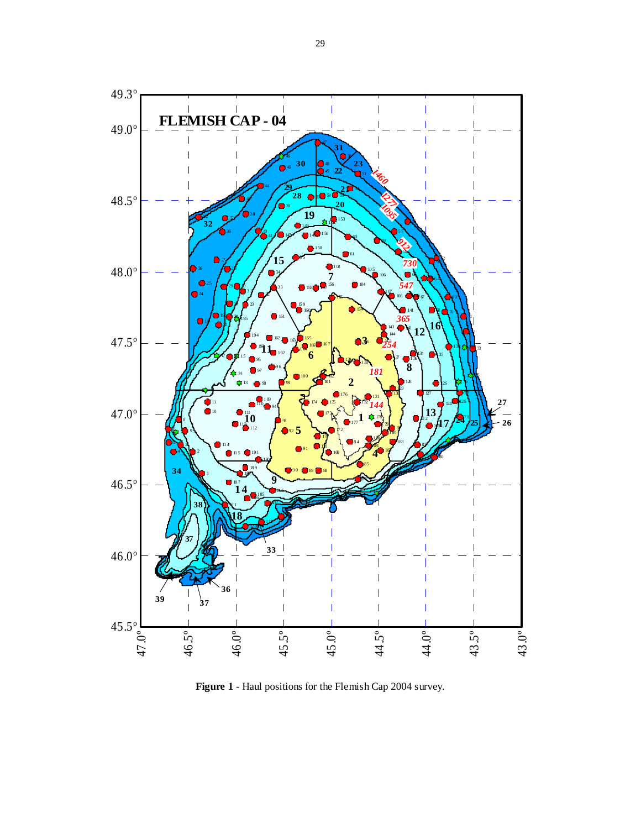

**Figure 1** - Haul positions for the Flemish Cap 2004 survey.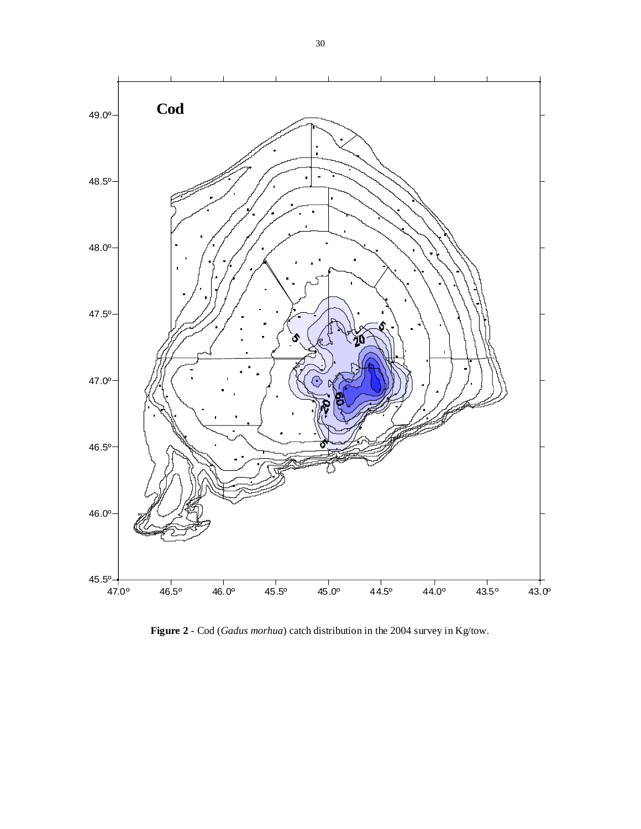

**Figure 2** - Cod (*Gadus morhua*) catch distribution in the 2004 survey in Kg/tow.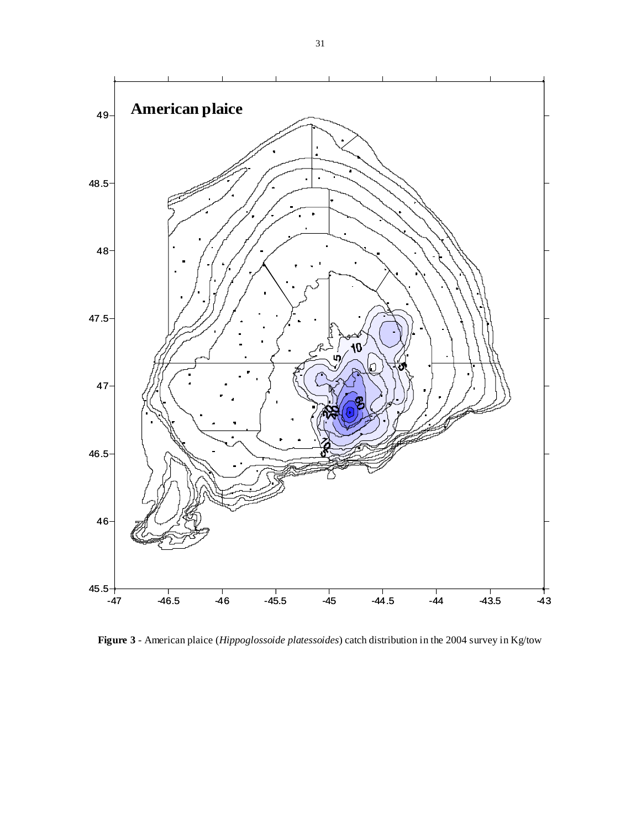

**Figure 3** - American plaice (*Hippoglossoide platessoides*) catch distribution in the 2004 survey in Kg/tow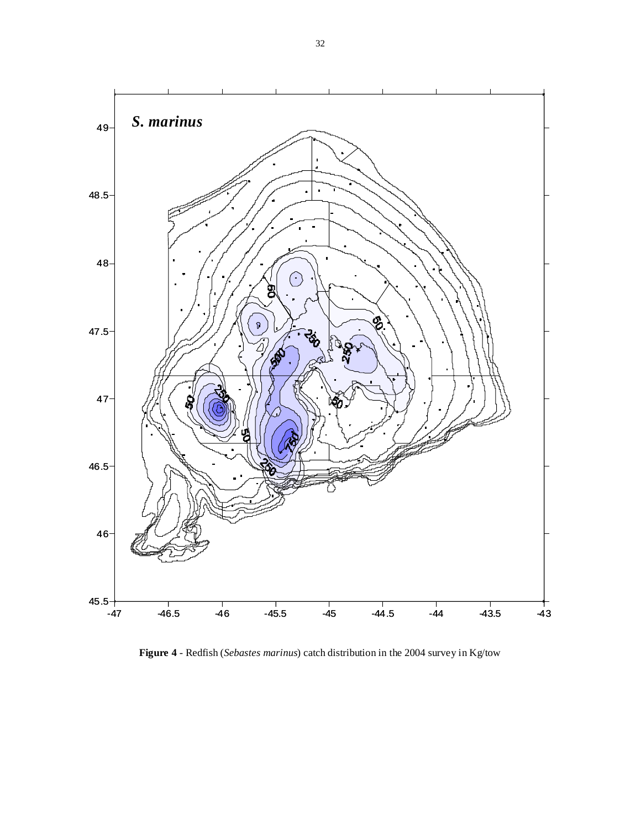

**Figure 4** - Redfish (*Sebastes marinus*) catch distribution in the 2004 survey in Kg/tow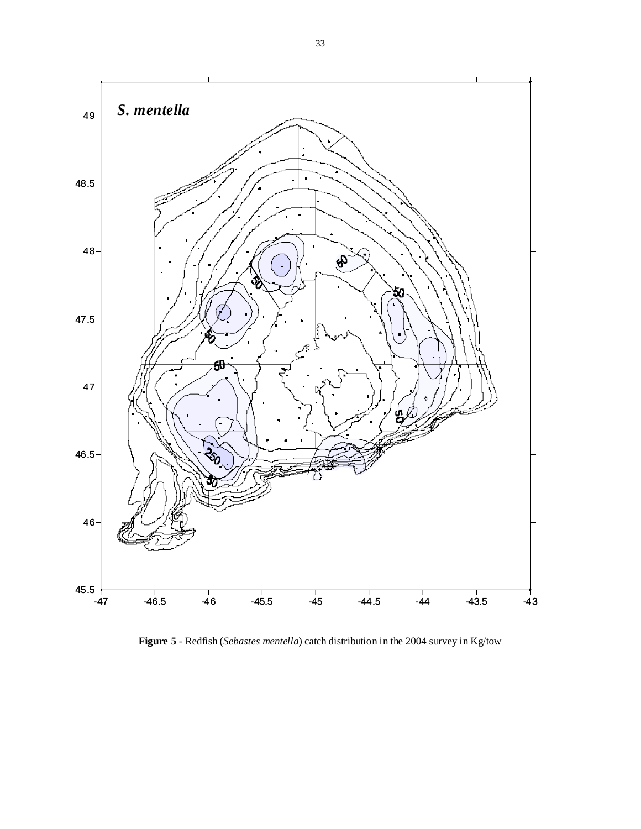

**Figure 5** - Redfish (*Sebastes mentella*) catch distribution in the 2004 survey in Kg/tow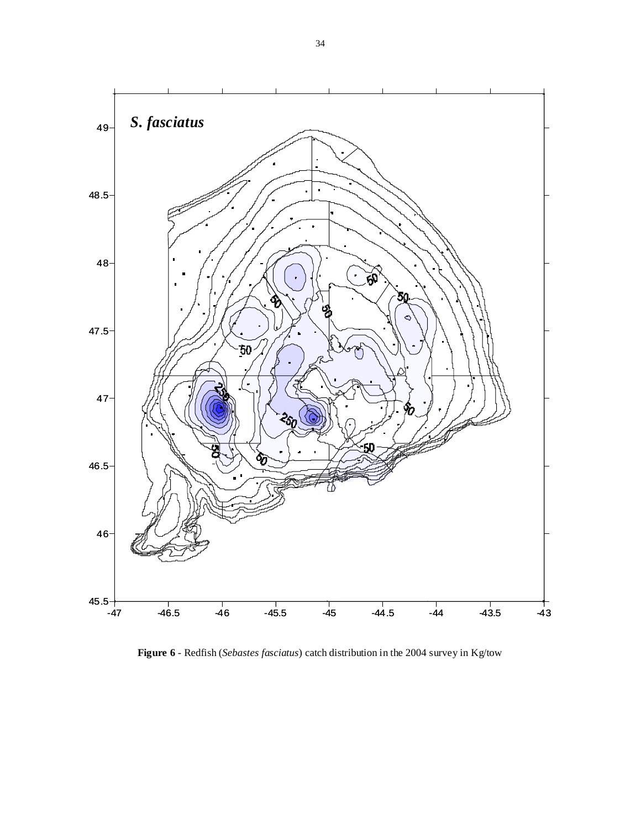

**Figure 6** - Redfish (*Sebastes fasciatus*) catch distribution in the 2004 survey in Kg/tow